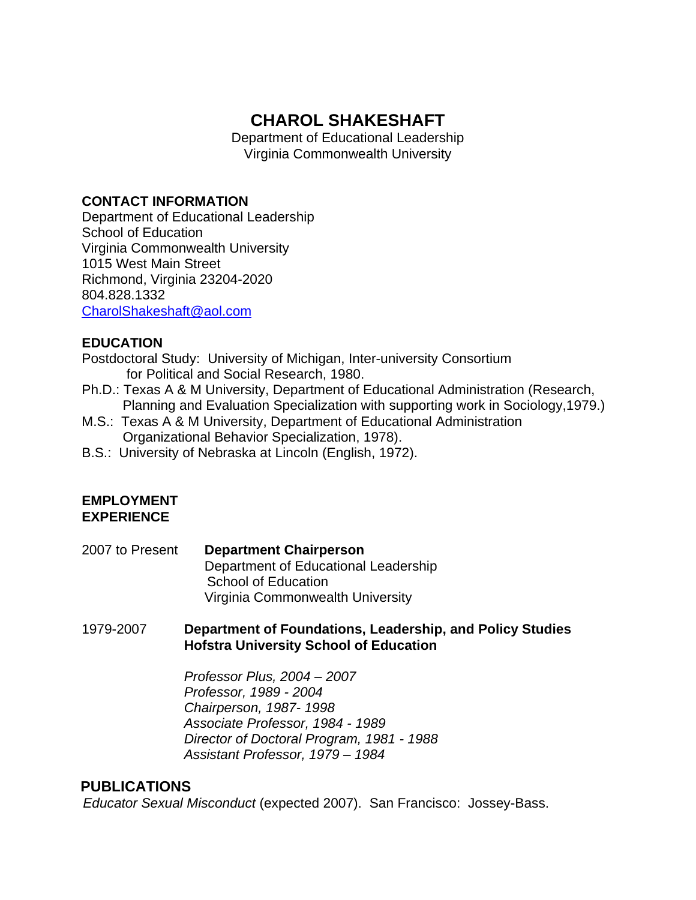# **CHAROL SHAKESHAFT**

Department of Educational Leadership Virginia Commonwealth University

### **CONTACT INFORMATION**

Department of Educational Leadership School of Education Virginia Commonwealth University 1015 West Main Street Richmond, Virginia 23204-2020 804.828.1332 [CharolShakeshaft@aol.com](mailto:CharolShakeshaft@aol.com)

### **EDUCATION**

Postdoctoral Study: University of Michigan, Inter-university Consortium for Political and Social Research, 1980.

- Ph.D.: Texas A & M University, Department of Educational Administration (Research, Planning and Evaluation Specialization with supporting work in Sociology,1979.)
- M.S.: Texas A & M University, Department of Educational Administration Organizational Behavior Specialization, 1978).
- B.S.: University of Nebraska at Lincoln (English, 1972).

### **EMPLOYMENT EXPERIENCE**

2007 to Present **Department Chairperson** Department of Educational Leadership School of Education Virginia Commonwealth University

1979-2007 **Department of Foundations, Leadership, and Policy Studies Hofstra University School of Education** 

> *Professor Plus, 2004 – 2007 Professor, 1989 - 2004 Chairperson, 1987- 1998 Associate Professor, 1984 - 1989 Director of Doctoral Program, 1981 - 1988 Assistant Professor, 1979 – 1984*

#### **PUBLICATIONS**

*Educator Sexual Misconduct* (expected 2007). San Francisco: Jossey-Bass.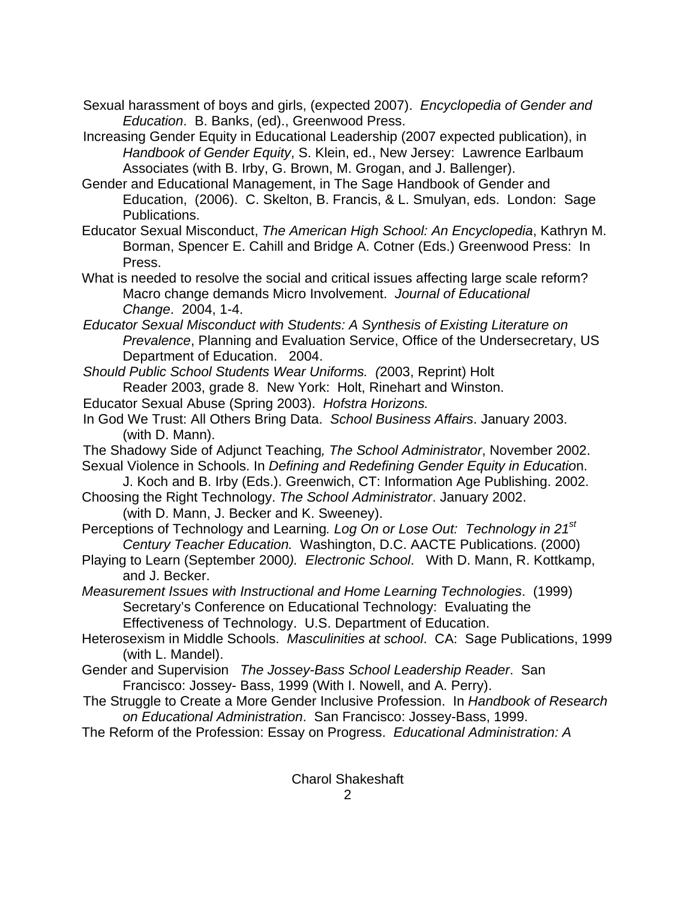- Sexual harassment of boys and girls, (expected 2007). *Encyclopedia of Gender and Education*. B. Banks, (ed)., Greenwood Press.
- Increasing Gender Equity in Educational Leadership (2007 expected publication), in *Handbook of Gender Equity*, S. Klein, ed., New Jersey: Lawrence Earlbaum Associates (with B. Irby, G. Brown, M. Grogan, and J. Ballenger).
- Gender and Educational Management, in The Sage Handbook of Gender and Education, (2006). C. Skelton, B. Francis, & L. Smulyan, eds. London: Sage Publications.
- Educator Sexual Misconduct, *The American High School: An Encyclopedia*, Kathryn M. Borman, Spencer E. Cahill and Bridge A. Cotner (Eds.) Greenwood Press: In Press.
- What is needed to resolve the social and critical issues affecting large scale reform? Macro change demands Micro Involvement. *Journal of Educational Change*. 2004, 1-4.
- *Educator Sexual Misconduct with Students: A Synthesis of Existing Literature on Prevalence*, Planning and Evaluation Service, Office of the Undersecretary, US Department of Education. 2004.
- *Should Public School Students Wear Uniforms. (*2003, Reprint) Holt Reader 2003, grade 8. New York: Holt, Rinehart and Winston.
- Educator Sexual Abuse (Spring 2003). *Hofstra Horizons.*
- In God We Trust: All Others Bring Data. *School Business Affairs*. January 2003. (with D. Mann).
- The Shadowy Side of Adjunct Teaching*, The School Administrator*, November 2002. Sexual Violence in Schools. In *Defining and Redefining Gender Equity in Educatio*n.
- J. Koch and B. Irby (Eds.). Greenwich, CT: Information Age Publishing. 2002. Choosing the Right Technology. *The School Administrator*. January 2002.
	- (with D. Mann, J. Becker and K. Sweeney).
- Perceptions of Technology and Learning*. Log On or Lose Out: Technology in 21st Century Teacher Education.* Washington, D.C. AACTE Publications. (2000)
- Playing to Learn (September 2000*). Electronic School*. With D. Mann, R. Kottkamp, and J. Becker.
- *Measurement Issues with Instructional and Home Learning Technologies*. (1999) Secretary's Conference on Educational Technology: Evaluating the Effectiveness of Technology. U.S. Department of Education.
- Heterosexism in Middle Schools. *Masculinities at school*. CA: Sage Publications, 1999 (with L. Mandel).
- Gender and Supervision *The Jossey-Bass School Leadership Reader*. San Francisco: Jossey- Bass, 1999 (With I. Nowell, and A. Perry).
- The Struggle to Create a More Gender Inclusive Profession. In *Handbook of Research on Educational Administration*. San Francisco: Jossey-Bass, 1999.
- The Reform of the Profession: Essay on Progress. *Educational Administration: A*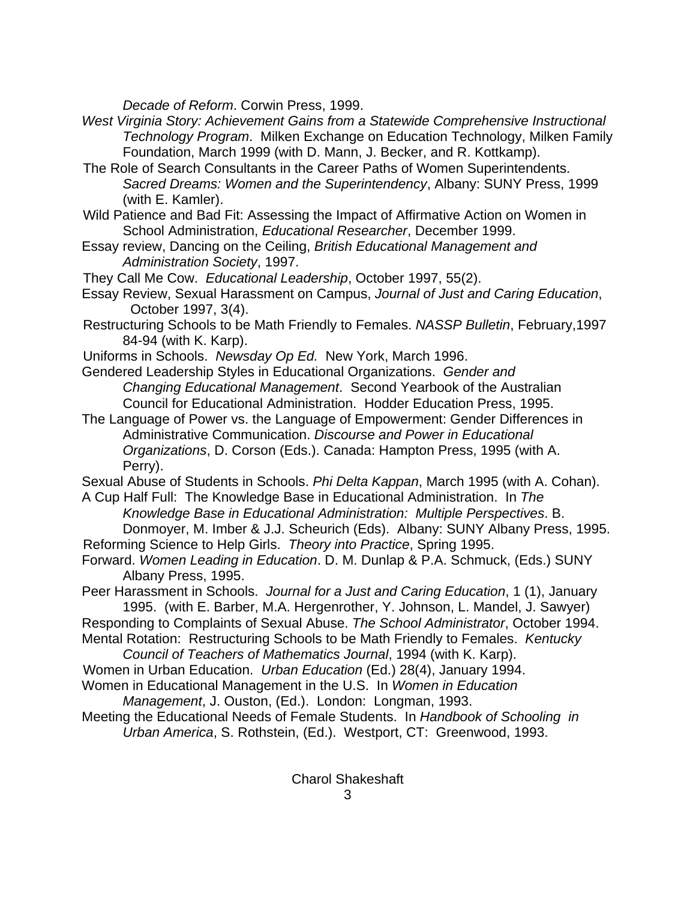*Decade of Reform*. Corwin Press, 1999.

- *West Virginia Story: Achievement Gains from a Statewide Comprehensive Instructional Technology Program*. Milken Exchange on Education Technology, Milken Family Foundation, March 1999 (with D. Mann, J. Becker, and R. Kottkamp).
- The Role of Search Consultants in the Career Paths of Women Superintendents. *Sacred Dreams: Women and the Superintendency*, Albany: SUNY Press, 1999 (with E. Kamler).
- Wild Patience and Bad Fit: Assessing the Impact of Affirmative Action on Women in School Administration, *Educational Researcher*, December 1999.
- Essay review, Dancing on the Ceiling, *British Educational Management and Administration Society*, 1997.
- They Call Me Cow. *Educational Leadership*, October 1997, 55(2).
- Essay Review, Sexual Harassment on Campus, *Journal of Just and Caring Education*, October 1997, 3(4).
- Restructuring Schools to be Math Friendly to Females. *NASSP Bulletin*, February,1997 84-94 (with K. Karp).
- Uniforms in Schools. *Newsday Op Ed.* New York, March 1996.
- Gendered Leadership Styles in Educational Organizations. *Gender and Changing Educational Management*. Second Yearbook of the Australian Council for Educational Administration. Hodder Education Press, 1995.
- The Language of Power vs. the Language of Empowerment: Gender Differences in Administrative Communication. *Discourse and Power in Educational Organizations*, D. Corson (Eds.). Canada: Hampton Press, 1995 (with A. Perry).
- Sexual Abuse of Students in Schools. *Phi Delta Kappan*, March 1995 (with A. Cohan). A Cup Half Full: The Knowledge Base in Educational Administration. In *The*
- *Knowledge Base in Educational Administration: Multiple Perspectives*. B. Donmoyer, M. Imber & J.J. Scheurich (Eds). Albany: SUNY Albany Press, 1995.
- Reforming Science to Help Girls. *Theory into Practice*, Spring 1995.
- Forward. *Women Leading in Education*. D. M. Dunlap & P.A. Schmuck, (Eds.) SUNY Albany Press, 1995.
- Peer Harassment in Schools. *Journal for a Just and Caring Education*, 1 (1), January 1995. (with E. Barber, M.A. Hergenrother, Y. Johnson, L. Mandel, J. Sawyer)
- Responding to Complaints of Sexual Abuse. *The School Administrator*, October 1994.
- Mental Rotation: Restructuring Schools to be Math Friendly to Females. *Kentucky Council of Teachers of Mathematics Journal*, 1994 (with K. Karp).
- Women in Urban Education. *Urban Education* (Ed.) 28(4), January 1994.
- Women in Educational Management in the U.S. In *Women in Education*

*Management*, J. Ouston, (Ed.). London: Longman, 1993.

Meeting the Educational Needs of Female Students. In *Handbook of Schooling in Urban America*, S. Rothstein, (Ed.). Westport, CT: Greenwood, 1993.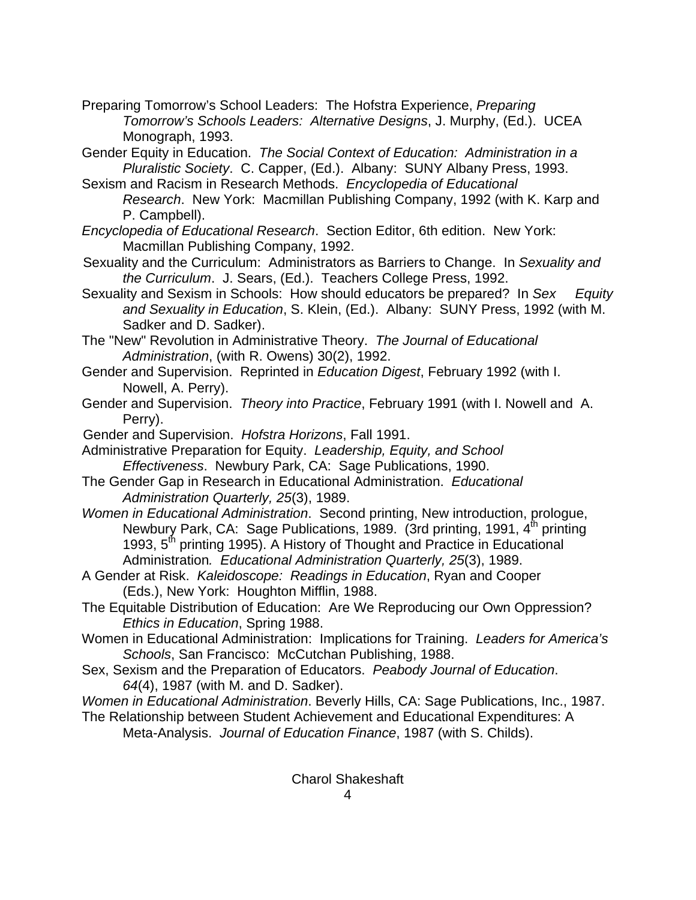- Preparing Tomorrow's School Leaders: The Hofstra Experience, *Preparing Tomorrow's Schools Leaders: Alternative Designs*, J. Murphy, (Ed.). UCEA Monograph, 1993.
- Gender Equity in Education. *The Social Context of Education: Administration in a Pluralistic Society*. C. Capper, (Ed.). Albany: SUNY Albany Press, 1993.
- Sexism and Racism in Research Methods. *Encyclopedia of Educational Research*. New York: Macmillan Publishing Company, 1992 (with K. Karp and P. Campbell).
- *Encyclopedia of Educational Research*. Section Editor, 6th edition. New York: Macmillan Publishing Company, 1992.
- Sexuality and the Curriculum: Administrators as Barriers to Change. In *Sexuality and the Curriculum*. J. Sears, (Ed.). Teachers College Press, 1992.
- Sexuality and Sexism in Schools: How should educators be prepared? In *Sex Equity and Sexuality in Education*, S. Klein, (Ed.). Albany: SUNY Press, 1992 (with M. Sadker and D. Sadker).
- The "New" Revolution in Administrative Theory. *The Journal of Educational Administration*, (with R. Owens) 30(2), 1992.
- Gender and Supervision. Reprinted in *Education Digest*, February 1992 (with I. Nowell, A. Perry).
- Gender and Supervision. *Theory into Practice*, February 1991 (with I. Nowell and A. Perry).
- Gender and Supervision. *Hofstra Horizons*, Fall 1991.
- Administrative Preparation for Equity. *Leadership, Equity, and School Effectiveness*. Newbury Park, CA: Sage Publications, 1990.
- The Gender Gap in Research in Educational Administration. *Educational Administration Quarterly, 25*(3), 1989.
- *Women in Educational Administration*. Second printing, New introduction, prologue, Newbury Park, CA: Sage Publications, 1989. (3rd printing, 1991, 4<sup>th</sup> printing 1993,  $5<sup>th</sup>$  printing 1995). A History of Thought and Practice in Educational Administration*. Educational Administration Quarterly, 25*(3), 1989.
- A Gender at Risk. *Kaleidoscope: Readings in Education*, Ryan and Cooper (Eds.), New York: Houghton Mifflin, 1988.
- The Equitable Distribution of Education: Are We Reproducing our Own Oppression? *Ethics in Education*, Spring 1988.
- Women in Educational Administration: Implications for Training. *Leaders for America's Schools*, San Francisco: McCutchan Publishing, 1988.
- Sex, Sexism and the Preparation of Educators. *Peabody Journal of Education*. *64*(4), 1987 (with M. and D. Sadker).
- *Women in Educational Administration*. Beverly Hills, CA: Sage Publications, Inc., 1987.
- The Relationship between Student Achievement and Educational Expenditures: A Meta-Analysis. *Journal of Education Finance*, 1987 (with S. Childs).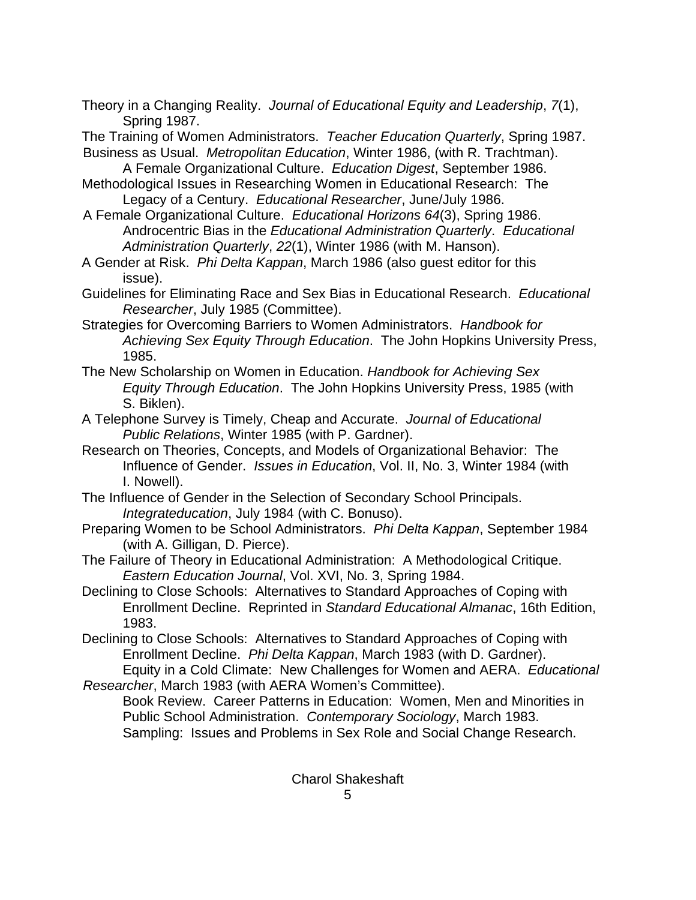Theory in a Changing Reality. *Journal of Educational Equity and Leadership*, *7*(1), Spring 1987.

The Training of Women Administrators. *Teacher Education Quarterly*, Spring 1987. Business as Usual. *Metropolitan Education*, Winter 1986, (with R. Trachtman).

A Female Organizational Culture. *Education Digest*, September 1986.

Methodological Issues in Researching Women in Educational Research: The Legacy of a Century. *Educational Researcher*, June/July 1986.

A Female Organizational Culture. *Educational Horizons 64*(3), Spring 1986. Androcentric Bias in the *Educational Administration Quarterly*. *Educational Administration Quarterly*, *22*(1), Winter 1986 (with M. Hanson).

A Gender at Risk. *Phi Delta Kappan*, March 1986 (also guest editor for this issue).

Guidelines for Eliminating Race and Sex Bias in Educational Research. *Educational Researcher*, July 1985 (Committee).

Strategies for Overcoming Barriers to Women Administrators. *Handbook for Achieving Sex Equity Through Education*. The John Hopkins University Press, 1985.

The New Scholarship on Women in Education. *Handbook for Achieving Sex Equity Through Education*. The John Hopkins University Press, 1985 (with S. Biklen).

- A Telephone Survey is Timely, Cheap and Accurate. *Journal of Educational Public Relations*, Winter 1985 (with P. Gardner).
- Research on Theories, Concepts, and Models of Organizational Behavior: The Influence of Gender. *Issues in Education*, Vol. II, No. 3, Winter 1984 (with I. Nowell).

The Influence of Gender in the Selection of Secondary School Principals. *Integrateducation*, July 1984 (with C. Bonuso).

- Preparing Women to be School Administrators. *Phi Delta Kappan*, September 1984 (with A. Gilligan, D. Pierce).
- The Failure of Theory in Educational Administration: A Methodological Critique. *Eastern Education Journal*, Vol. XVI, No. 3, Spring 1984.

Declining to Close Schools: Alternatives to Standard Approaches of Coping with Enrollment Decline. Reprinted in *Standard Educational Almanac*, 16th Edition, 1983.

Declining to Close Schools: Alternatives to Standard Approaches of Coping with Enrollment Decline. *Phi Delta Kappan*, March 1983 (with D. Gardner). Equity in a Cold Climate: New Challenges for Women and AERA. *Educational* 

*Researcher*, March 1983 (with AERA Women's Committee). Book Review. Career Patterns in Education: Women, Men and Minorities in

Public School Administration. *Contemporary Sociology*, March 1983. Sampling: Issues and Problems in Sex Role and Social Change Research.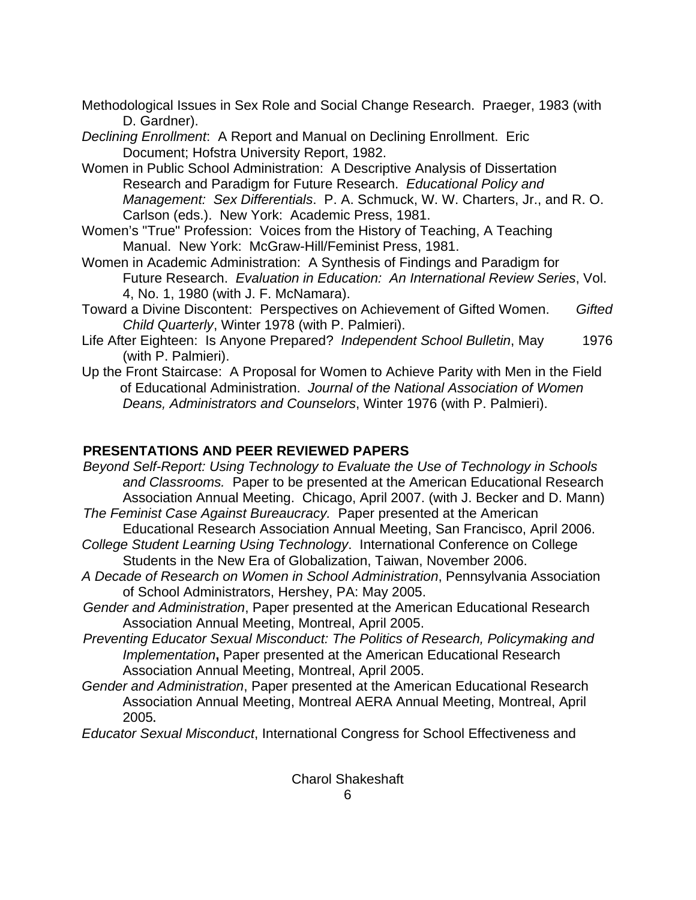Methodological Issues in Sex Role and Social Change Research. Praeger, 1983 (with D. Gardner).

*Declining Enrollment*: A Report and Manual on Declining Enrollment. Eric Document; Hofstra University Report, 1982.

Women in Public School Administration: A Descriptive Analysis of Dissertation Research and Paradigm for Future Research. *Educational Policy and Management: Sex Differentials*. P. A. Schmuck, W. W. Charters, Jr., and R. O. Carlson (eds.). New York: Academic Press, 1981.

Women's "True" Profession: Voices from the History of Teaching, A Teaching Manual. New York: McGraw-Hill/Feminist Press, 1981.

Women in Academic Administration: A Synthesis of Findings and Paradigm for Future Research. *Evaluation in Education: An International Review Series*, Vol. 4, No. 1, 1980 (with J. F. McNamara).

Toward a Divine Discontent: Perspectives on Achievement of Gifted Women. *Gifted Child Quarterly*, Winter 1978 (with P. Palmieri).

Life After Eighteen: Is Anyone Prepared? *Independent School Bulletin*, May 1976 (with P. Palmieri).

Up the Front Staircase: A Proposal for Women to Achieve Parity with Men in the Field of Educational Administration. *Journal of the National Association of Women Deans, Administrators and Counselors*, Winter 1976 (with P. Palmieri).

# **PRESENTATIONS AND PEER REVIEWED PAPERS**

*Beyond Self-Report: Using Technology to Evaluate the Use of Technology in Schools and Classrooms.* Paper to be presented at the American Educational Research Association Annual Meeting. Chicago, April 2007. (with J. Becker and D. Mann) *The Feminist Case Against Bureaucracy.* Paper presented at the American

Educational Research Association Annual Meeting, San Francisco, April 2006.

- *College Student Learning Using Technology*. International Conference on College Students in the New Era of Globalization, Taiwan, November 2006.
- *A Decade of Research on Women in School Administration*, Pennsylvania Association of School Administrators, Hershey, PA: May 2005.

*Gender and Administration*, Paper presented at the American Educational Research Association Annual Meeting, Montreal, April 2005.

- *Preventing Educator Sexual Misconduct: The Politics of Research, Policymaking and*  **Implementation, Paper presented at the American Educational Research** Association Annual Meeting, Montreal, April 2005.
- *Gender and Administration*, Paper presented at the American Educational Research Association Annual Meeting, Montreal AERA Annual Meeting, Montreal, April 2005**.**

*Educator Sexual Misconduct*, International Congress for School Effectiveness and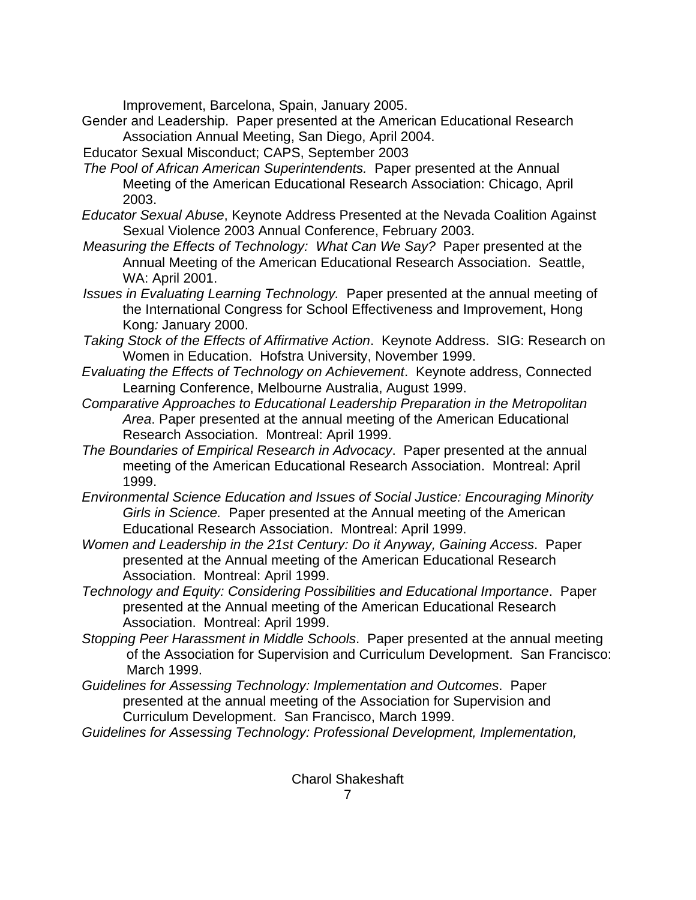Improvement, Barcelona, Spain, January 2005.

- Gender and Leadership. Paper presented at the American Educational Research Association Annual Meeting, San Diego, April 2004.
- Educator Sexual Misconduct; CAPS, September 2003
- *The Pool of African American Superintendents.* Paper presented at the Annual Meeting of the American Educational Research Association: Chicago, April 2003.
- *Educator Sexual Abuse*, Keynote Address Presented at the Nevada Coalition Against Sexual Violence 2003 Annual Conference, February 2003.
- *Measuring the Effects of Technology: What Can We Say?* Paper presented at the Annual Meeting of the American Educational Research Association. Seattle, WA: April 2001.
- *Issues in Evaluating Learning Technology.* Paper presented at the annual meeting of the International Congress for School Effectiveness and Improvement, Hong Kong*:* January 2000.
- *Taking Stock of the Effects of Affirmative Action*. Keynote Address. SIG: Research on Women in Education. Hofstra University, November 1999.
- *Evaluating the Effects of Technology on Achievement*. Keynote address, Connected Learning Conference, Melbourne Australia, August 1999.
- *Comparative Approaches to Educational Leadership Preparation in the Metropolitan Area*. Paper presented at the annual meeting of the American Educational Research Association. Montreal: April 1999.
- *The Boundaries of Empirical Research in Advocacy*. Paper presented at the annual meeting of the American Educational Research Association. Montreal: April 1999.
- *Environmental Science Education and Issues of Social Justice: Encouraging Minority Girls in Science.* Paper presented at the Annual meeting of the American Educational Research Association. Montreal: April 1999.
- *Women and Leadership in the 21st Century: Do it Anyway, Gaining Access*. Paper presented at the Annual meeting of the American Educational Research Association. Montreal: April 1999.
- *Technology and Equity: Considering Possibilities and Educational Importance*. Paper presented at the Annual meeting of the American Educational Research Association. Montreal: April 1999.
- *Stopping Peer Harassment in Middle Schools*. Paper presented at the annual meeting of the Association for Supervision and Curriculum Development. San Francisco: March 1999.
- *Guidelines for Assessing Technology: Implementation and Outcomes*. Paper presented at the annual meeting of the Association for Supervision and Curriculum Development. San Francisco, March 1999.
- *Guidelines for Assessing Technology: Professional Development, Implementation,*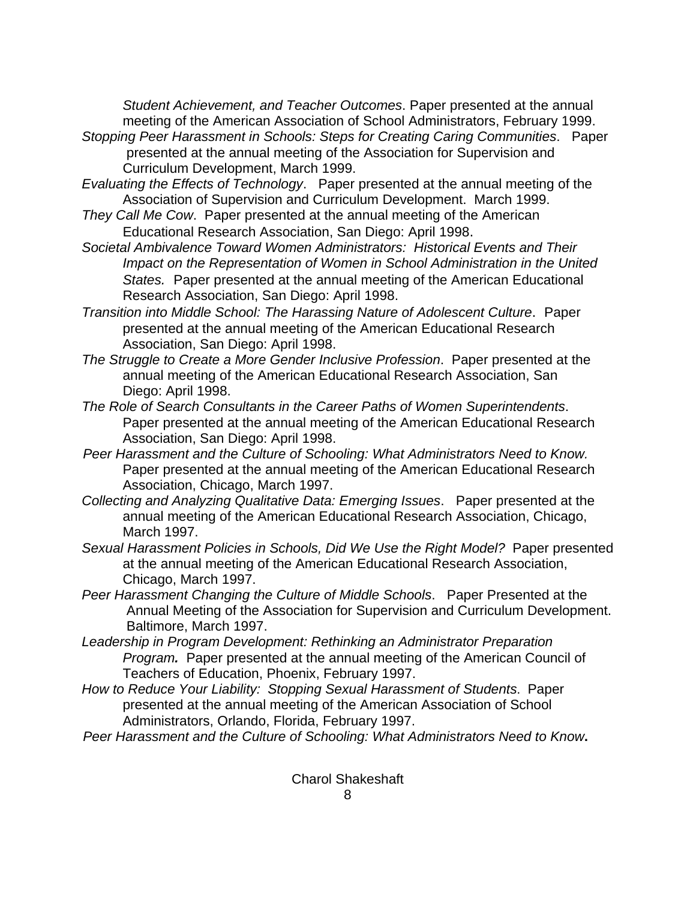*Student Achievement, and Teacher Outcomes*. Paper presented at the annual meeting of the American Association of School Administrators, February 1999.

- *Stopping Peer Harassment in Schools: Steps for Creating Caring Communities*. Paper presented at the annual meeting of the Association for Supervision and Curriculum Development, March 1999.
- *Evaluating the Effects of Technology*. Paper presented at the annual meeting of the Association of Supervision and Curriculum Development. March 1999.
- *They Call Me Cow*. Paper presented at the annual meeting of the American Educational Research Association, San Diego: April 1998.
- *Societal Ambivalence Toward Women Administrators: Historical Events and Their Impact on the Representation of Women in School Administration in the United States.* Paper presented at the annual meeting of the American Educational Research Association, San Diego: April 1998.
- *Transition into Middle School: The Harassing Nature of Adolescent Culture*. Paper presented at the annual meeting of the American Educational Research Association, San Diego: April 1998.
- *The Struggle to Create a More Gender Inclusive Profession*. Paper presented at the annual meeting of the American Educational Research Association, San Diego: April 1998.
- *The Role of Search Consultants in the Career Paths of Women Superintendents*. Paper presented at the annual meeting of the American Educational Research Association, San Diego: April 1998.
- *Peer Harassment and the Culture of Schooling: What Administrators Need to Know.* Paper presented at the annual meeting of the American Educational Research Association, Chicago, March 1997.
- *Collecting and Analyzing Qualitative Data: Emerging Issues*.Paper presented at the annual meeting of the American Educational Research Association, Chicago, March 1997.
- *Sexual Harassment Policies in Schools, Did We Use the Right Model?*Paper presented at the annual meeting of the American Educational Research Association, Chicago, March 1997.
- *Peer Harassment Changing the Culture of Middle Schools*.Paper Presented at the Annual Meeting of the Association for Supervision and Curriculum Development. Baltimore, March 1997.
- *Leadership in Program Development: Rethinking an Administrator Preparation Program.*Paper presented at the annual meeting of the American Council of Teachers of Education, Phoenix, February 1997.
- *How to Reduce Your Liability: Stopping Sexual Harassment of Students*.Paper presented at the annual meeting of the American Association of School Administrators, Orlando, Florida, February 1997.
- *Peer Harassment and the Culture of Schooling: What Administrators Need to Know***.**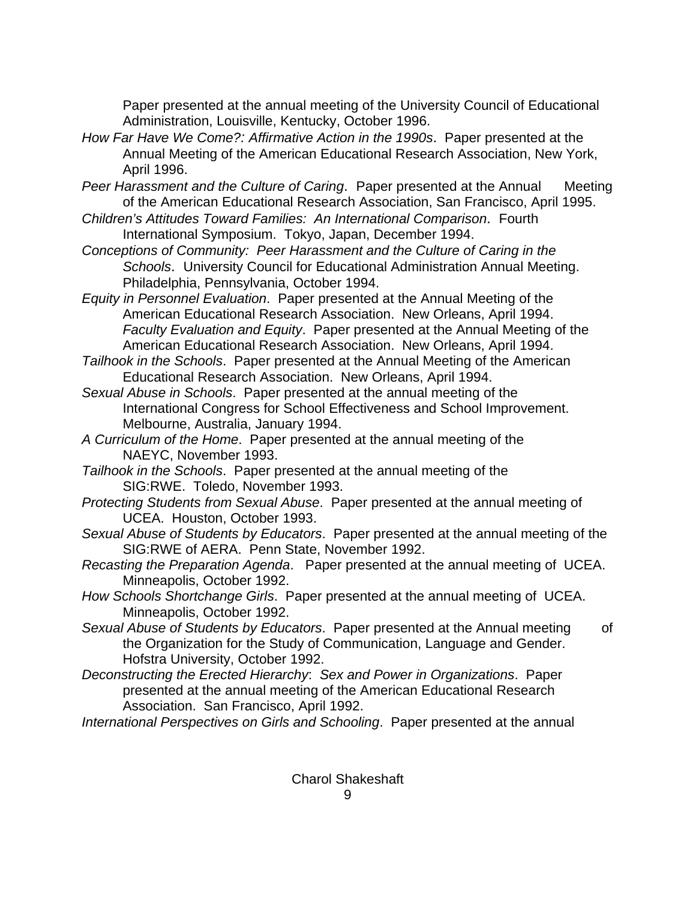Paper presented at the annual meeting of the University Council of Educational Administration, Louisville, Kentucky, October 1996.

- *How Far Have We Come?: Affirmative Action in the 1990s*. Paper presented at the Annual Meeting of the American Educational Research Association, New York, April 1996.
- *Peer Harassment and the Culture of Caring*. Paper presented at the Annual Meeting of the American Educational Research Association, San Francisco, April 1995.
- *Children's Attitudes Toward Families: An International Comparison*. Fourth International Symposium. Tokyo, Japan, December 1994.
- *Conceptions of Community: Peer Harassment and the Culture of Caring in the Schools*. University Council for Educational Administration Annual Meeting. Philadelphia, Pennsylvania, October 1994.
- *Equity in Personnel Evaluation*. Paper presented at the Annual Meeting of the American Educational Research Association. New Orleans, April 1994. *Faculty Evaluation and Equity*. Paper presented at the Annual Meeting of the American Educational Research Association. New Orleans, April 1994.
- *Tailhook in the Schools*. Paper presented at the Annual Meeting of the American Educational Research Association. New Orleans, April 1994.
- *Sexual Abuse in Schools*. Paper presented at the annual meeting of the International Congress for School Effectiveness and School Improvement. Melbourne, Australia, January 1994.
- *A Curriculum of the Home*. Paper presented at the annual meeting of the NAEYC, November 1993.
- *Tailhook in the Schools*. Paper presented at the annual meeting of the SIG:RWE. Toledo, November 1993.
- *Protecting Students from Sexual Abuse*. Paper presented at the annual meeting of UCEA. Houston, October 1993.
- *Sexual Abuse of Students by Educators*. Paper presented at the annual meeting of the SIG:RWE of AERA. Penn State, November 1992.
- *Recasting the Preparation Agenda*. Paper presented at the annual meeting of UCEA. Minneapolis, October 1992.
- *How Schools Shortchange Girls*. Paper presented at the annual meeting of UCEA. Minneapolis, October 1992.
- Sexual Abuse of Students by Educators. Paper presented at the Annual meeting of the Organization for the Study of Communication, Language and Gender. Hofstra University, October 1992.
- *Deconstructing the Erected Hierarchy*: *Sex and Power in Organizations*. Paper presented at the annual meeting of the American Educational Research Association. San Francisco, April 1992.
- *International Perspectives on Girls and Schooling*. Paper presented at the annual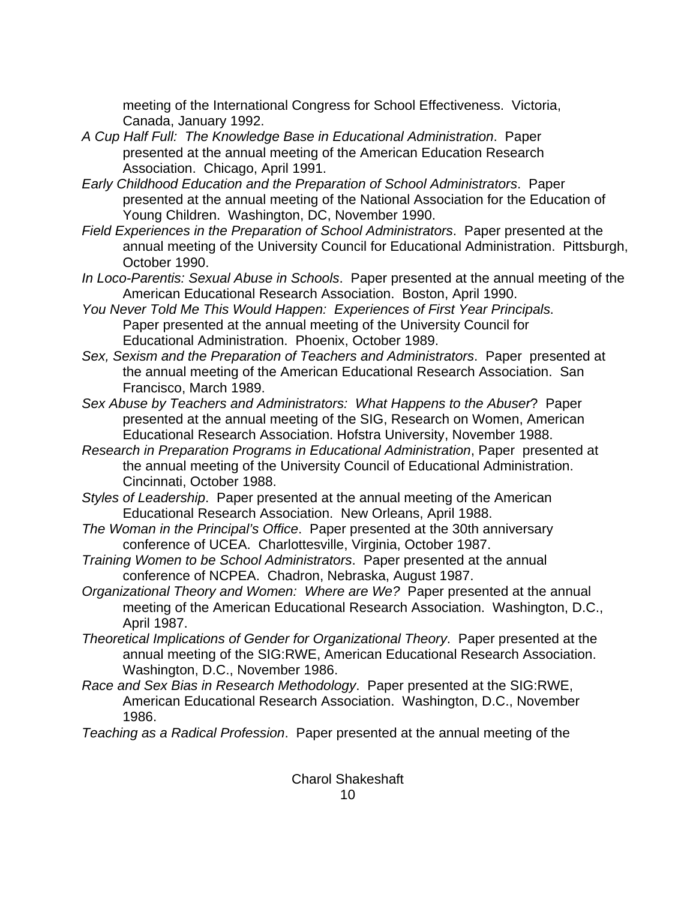meeting of the International Congress for School Effectiveness. Victoria, Canada, January 1992.

- *A Cup Half Full: The Knowledge Base in Educational Administration*. Paper presented at the annual meeting of the American Education Research Association. Chicago, April 1991.
- *Early Childhood Education and the Preparation of School Administrators*. Paper presented at the annual meeting of the National Association for the Education of Young Children. Washington, DC, November 1990.
- *Field Experiences in the Preparation of School Administrators*. Paper presented at the annual meeting of the University Council for Educational Administration. Pittsburgh, October 1990.
- *In Loco-Parentis: Sexual Abuse in Schools*. Paper presented at the annual meeting of the American Educational Research Association. Boston, April 1990.
- *You Never Told Me This Would Happen: Experiences of First Year Principals*. Paper presented at the annual meeting of the University Council for Educational Administration. Phoenix, October 1989.
- *Sex, Sexism and the Preparation of Teachers and Administrators*. Paper presented at the annual meeting of the American Educational Research Association. San Francisco, March 1989.
- *Sex Abuse by Teachers and Administrators: What Happens to the Abuser*? Paper presented at the annual meeting of the SIG, Research on Women, American Educational Research Association. Hofstra University, November 1988.
- *Research in Preparation Programs in Educational Administration*, Paper presented at the annual meeting of the University Council of Educational Administration. Cincinnati, October 1988.
- *Styles of Leadership*. Paper presented at the annual meeting of the American Educational Research Association. New Orleans, April 1988.
- *The Woman in the Principal's Office*. Paper presented at the 30th anniversary conference of UCEA. Charlottesville, Virginia, October 1987.
- *Training Women to be School Administrators*. Paper presented at the annual conference of NCPEA. Chadron, Nebraska, August 1987.
- *Organizational Theory and Women: Where are We?* Paper presented at the annual meeting of the American Educational Research Association. Washington, D.C., April 1987.
- *Theoretical Implications of Gender for Organizational Theory*. Paper presented at the annual meeting of the SIG:RWE, American Educational Research Association. Washington, D.C., November 1986.
- *Race and Sex Bias in Research Methodology*. Paper presented at the SIG:RWE, American Educational Research Association. Washington, D.C., November 1986.
- *Teaching as a Radical Profession*. Paper presented at the annual meeting of the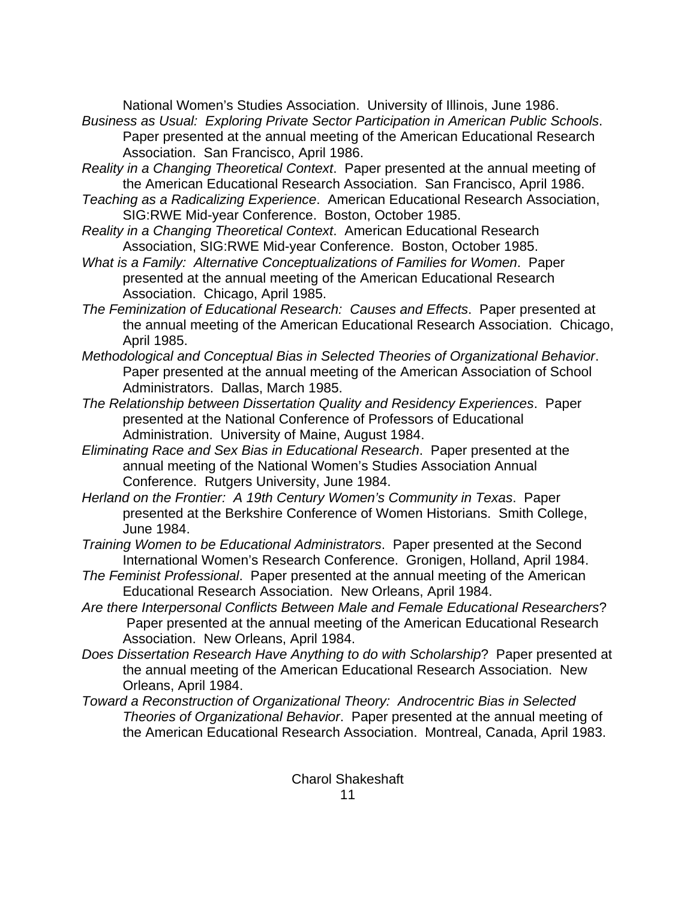National Women's Studies Association. University of Illinois, June 1986.

*Business as Usual: Exploring Private Sector Participation in American Public Schools*. Paper presented at the annual meeting of the American Educational Research Association. San Francisco, April 1986.

*Reality in a Changing Theoretical Context*. Paper presented at the annual meeting of the American Educational Research Association. San Francisco, April 1986.

- *Teaching as a Radicalizing Experience*. American Educational Research Association, SIG:RWE Mid-year Conference. Boston, October 1985.
- *Reality in a Changing Theoretical Context*. American Educational Research Association, SIG:RWE Mid-year Conference. Boston, October 1985.
- *What is a Family: Alternative Conceptualizations of Families for Women*. Paper presented at the annual meeting of the American Educational Research Association. Chicago, April 1985.
- *The Feminization of Educational Research: Causes and Effects*. Paper presented at the annual meeting of the American Educational Research Association. Chicago, April 1985.
- *Methodological and Conceptual Bias in Selected Theories of Organizational Behavior*. Paper presented at the annual meeting of the American Association of School Administrators. Dallas, March 1985.
- *The Relationship between Dissertation Quality and Residency Experiences*. Paper presented at the National Conference of Professors of Educational Administration. University of Maine, August 1984.
- *Eliminating Race and Sex Bias in Educational Research*. Paper presented at the annual meeting of the National Women's Studies Association Annual Conference. Rutgers University, June 1984.
- *Herland on the Frontier: A 19th Century Women's Community in Texas*. Paper presented at the Berkshire Conference of Women Historians. Smith College, June 1984.
- *Training Women to be Educational Administrators*. Paper presented at the Second International Women's Research Conference. Gronigen, Holland, April 1984.
- *The Feminist Professional*. Paper presented at the annual meeting of the American Educational Research Association. New Orleans, April 1984.
- *Are there Interpersonal Conflicts Between Male and Female Educational Researchers*? Paper presented at the annual meeting of the American Educational Research Association. New Orleans, April 1984.
- *Does Dissertation Research Have Anything to do with Scholarship*? Paper presented at the annual meeting of the American Educational Research Association. New Orleans, April 1984.
- *Toward a Reconstruction of Organizational Theory: Androcentric Bias in Selected Theories of Organizational Behavior*. Paper presented at the annual meeting of the American Educational Research Association. Montreal, Canada, April 1983.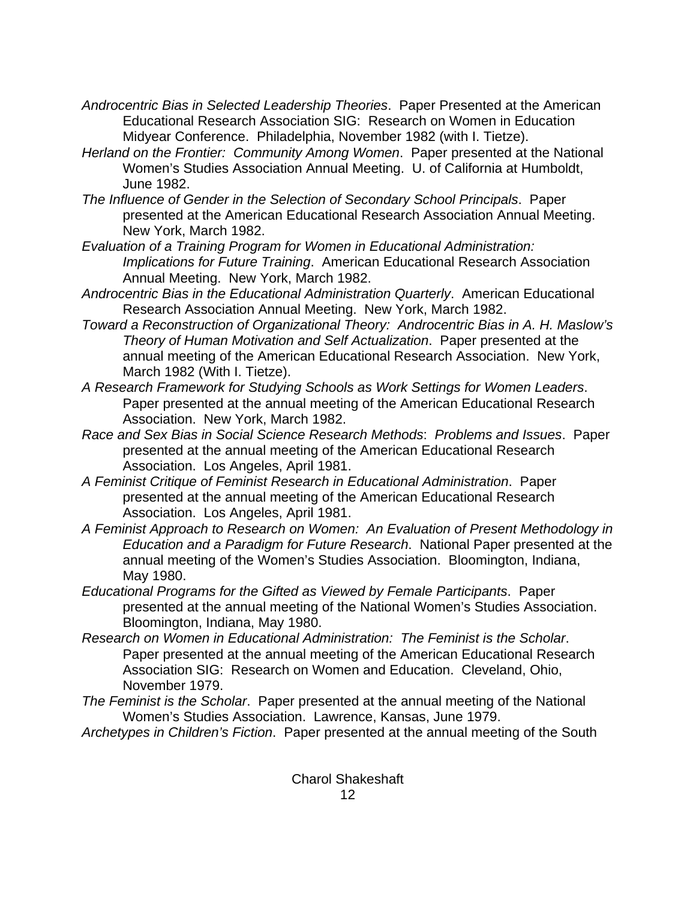- *Androcentric Bias in Selected Leadership Theories*. Paper Presented at the American Educational Research Association SIG: Research on Women in Education Midyear Conference. Philadelphia, November 1982 (with I. Tietze).
- *Herland on the Frontier: Community Among Women*. Paper presented at the National Women's Studies Association Annual Meeting. U. of California at Humboldt, June 1982.
- *The Influence of Gender in the Selection of Secondary School Principals*. Paper presented at the American Educational Research Association Annual Meeting. New York, March 1982.
- *Evaluation of a Training Program for Women in Educational Administration: Implications for Future Training*. American Educational Research Association Annual Meeting. New York, March 1982.
- *Androcentric Bias in the Educational Administration Quarterly*. American Educational Research Association Annual Meeting. New York, March 1982.
- *Toward a Reconstruction of Organizational Theory: Androcentric Bias in A. H. Maslow's Theory of Human Motivation and Self Actualization*. Paper presented at the annual meeting of the American Educational Research Association. New York, March 1982 (With I. Tietze).
- *A Research Framework for Studying Schools as Work Settings for Women Leaders*. Paper presented at the annual meeting of the American Educational Research Association. New York, March 1982.
- *Race and Sex Bias in Social Science Research Methods*: *Problems and Issues*. Paper presented at the annual meeting of the American Educational Research Association. Los Angeles, April 1981.
- *A Feminist Critique of Feminist Research in Educational Administration*. Paper presented at the annual meeting of the American Educational Research Association. Los Angeles, April 1981.
- *A Feminist Approach to Research on Women: An Evaluation of Present Methodology in Education and a Paradigm for Future Research*. National Paper presented at the annual meeting of the Women's Studies Association. Bloomington, Indiana, May 1980.
- *Educational Programs for the Gifted as Viewed by Female Participants*. Paper presented at the annual meeting of the National Women's Studies Association. Bloomington, Indiana, May 1980.
- *Research on Women in Educational Administration: The Feminist is the Scholar*. Paper presented at the annual meeting of the American Educational Research Association SIG: Research on Women and Education. Cleveland, Ohio, November 1979.
- *The Feminist is the Scholar*. Paper presented at the annual meeting of the National Women's Studies Association. Lawrence, Kansas, June 1979.
- *Archetypes in Children's Fiction*. Paper presented at the annual meeting of the South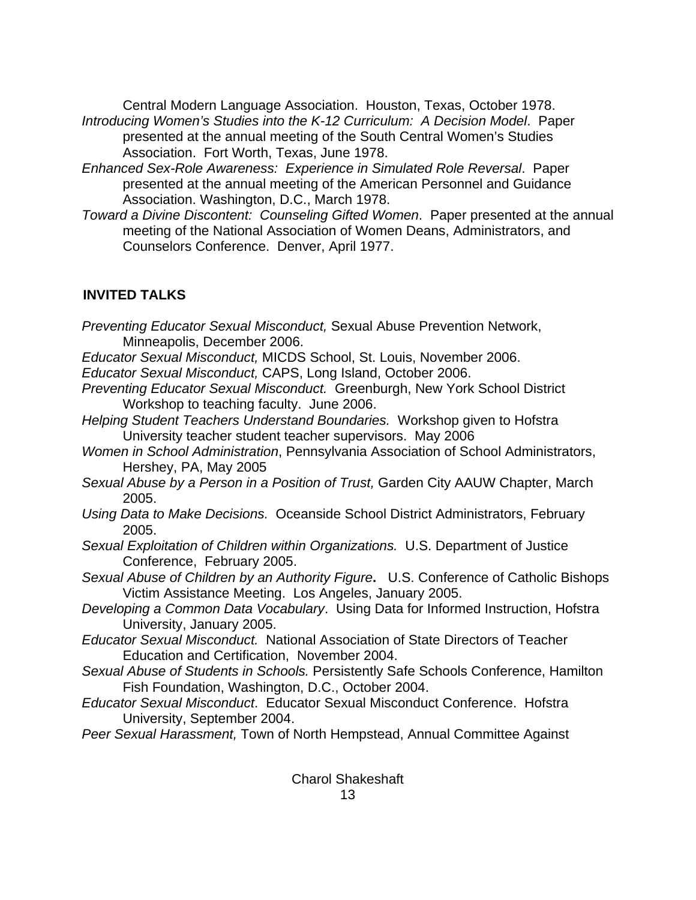Central Modern Language Association. Houston, Texas, October 1978. *Introducing Women's Studies into the K-12 Curriculum: A Decision Model*. Paper presented at the annual meeting of the South Central Women's Studies Association. Fort Worth, Texas, June 1978.

- *Enhanced Sex-Role Awareness: Experience in Simulated Role Reversal*. Paper presented at the annual meeting of the American Personnel and Guidance Association. Washington, D.C., March 1978.
- *Toward a Divine Discontent: Counseling Gifted Women*. Paper presented at the annual meeting of the National Association of Women Deans, Administrators, and Counselors Conference. Denver, April 1977.

## **INVITED TALKS**

Charol Shakeshaft *Preventing Educator Sexual Misconduct,* Sexual Abuse Prevention Network, Minneapolis, December 2006. *Educator Sexual Misconduct,* MICDS School, St. Louis, November 2006. *Educator Sexual Misconduct,* CAPS, Long Island, October 2006. *Preventing Educator Sexual Misconduct.* Greenburgh, New York School District Workshop to teaching faculty. June 2006. *Helping Student Teachers Understand Boundaries.* Workshop given to Hofstra University teacher student teacher supervisors. May 2006 *Women in School Administration*, Pennsylvania Association of School Administrators, Hershey, PA, May 2005 *Sexual Abuse by a Person in a Position of Trust,* Garden City AAUW Chapter, March 2005. *Using Data to Make Decisions.* Oceanside School District Administrators, February 2005. *Sexual Exploitation of Children within Organizations.* U.S. Department of Justice Conference, February 2005. *Sexual Abuse of Children by an Authority Figure***.** U.S. Conference of Catholic Bishops Victim Assistance Meeting. Los Angeles, January 2005. *Developing a Common Data Vocabulary*. Using Data for Informed Instruction, Hofstra University, January 2005. *Educator Sexual Misconduct.* National Association of State Directors of Teacher Education and Certification, November 2004. *Sexual Abuse of Students in Schools.* Persistently Safe Schools Conference, Hamilton Fish Foundation, Washington, D.C., October 2004. *Educator Sexual Misconduct*. Educator Sexual Misconduct Conference. Hofstra University, September 2004. *Peer Sexual Harassment,* Town of North Hempstead, Annual Committee Against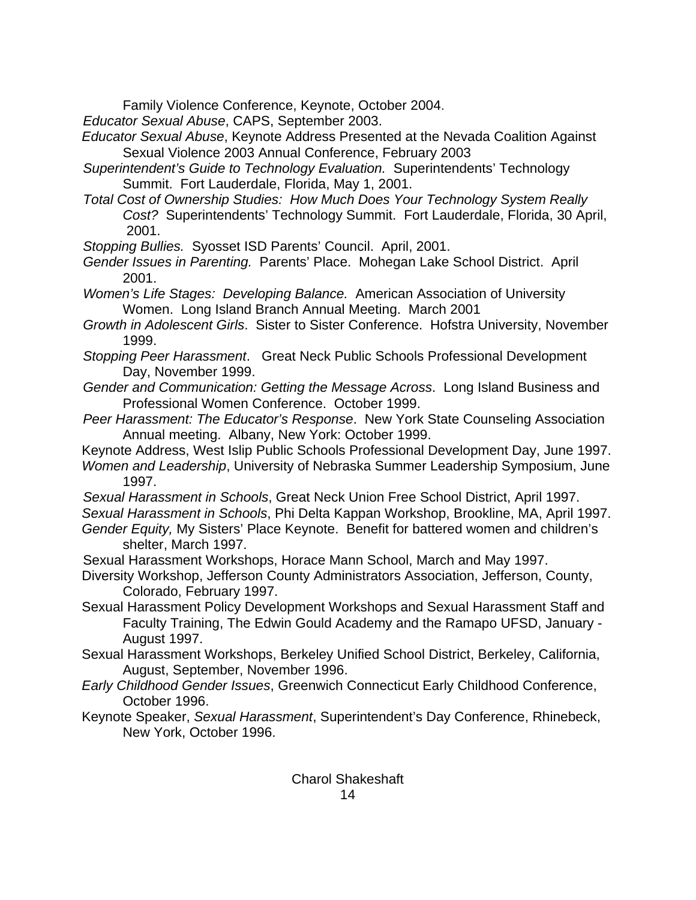Family Violence Conference, Keynote, October 2004.

*Educator Sexual Abuse*, CAPS, September 2003.

- *Educator Sexual Abuse*, Keynote Address Presented at the Nevada Coalition Against Sexual Violence 2003 Annual Conference, February 2003
- *Superintendent's Guide to Technology Evaluation.* Superintendents' Technology Summit. Fort Lauderdale, Florida, May 1, 2001.
- *Total Cost of Ownership Studies: How Much Does Your Technology System Really Cost?* Superintendents' Technology Summit. Fort Lauderdale, Florida, 30 April, 2001.

*Stopping Bullies.* Syosset ISD Parents' Council. April, 2001.

*Gender Issues in Parenting.* Parents' Place. Mohegan Lake School District. April 2001.

*Women's Life Stages: Developing Balance.* American Association of University Women. Long Island Branch Annual Meeting. March 2001

*Growth in Adolescent Girls*. Sister to Sister Conference. Hofstra University, November 1999.

- *Stopping Peer Harassment*. Great Neck Public Schools Professional Development Day, November 1999.
- *Gender and Communication: Getting the Message Across*. Long Island Business and Professional Women Conference. October 1999.
- *Peer Harassment: The Educator's Response*. New York State Counseling Association Annual meeting. Albany, New York: October 1999.
- Keynote Address, West Islip Public Schools Professional Development Day, June 1997. *Women and Leadership*, University of Nebraska Summer Leadership Symposium, June 1997.

*Sexual Harassment in Schools*, Great Neck Union Free School District, April 1997.

*Sexual Harassment in Schools*, Phi Delta Kappan Workshop, Brookline, MA, April 1997. *Gender Equity,* My Sisters' Place Keynote. Benefit for battered women and children's shelter, March 1997.

Sexual Harassment Workshops, Horace Mann School, March and May 1997.

- Diversity Workshop, Jefferson County Administrators Association, Jefferson, County, Colorado, February 1997.
- Sexual Harassment Policy Development Workshops and Sexual Harassment Staff and Faculty Training, The Edwin Gould Academy and the Ramapo UFSD, January - August 1997.
- Sexual Harassment Workshops, Berkeley Unified School District, Berkeley, California, August, September, November 1996.
- *Early Childhood Gender Issues*, Greenwich Connecticut Early Childhood Conference, October 1996.
- Keynote Speaker, *Sexual Harassment*, Superintendent's Day Conference, Rhinebeck, New York, October 1996.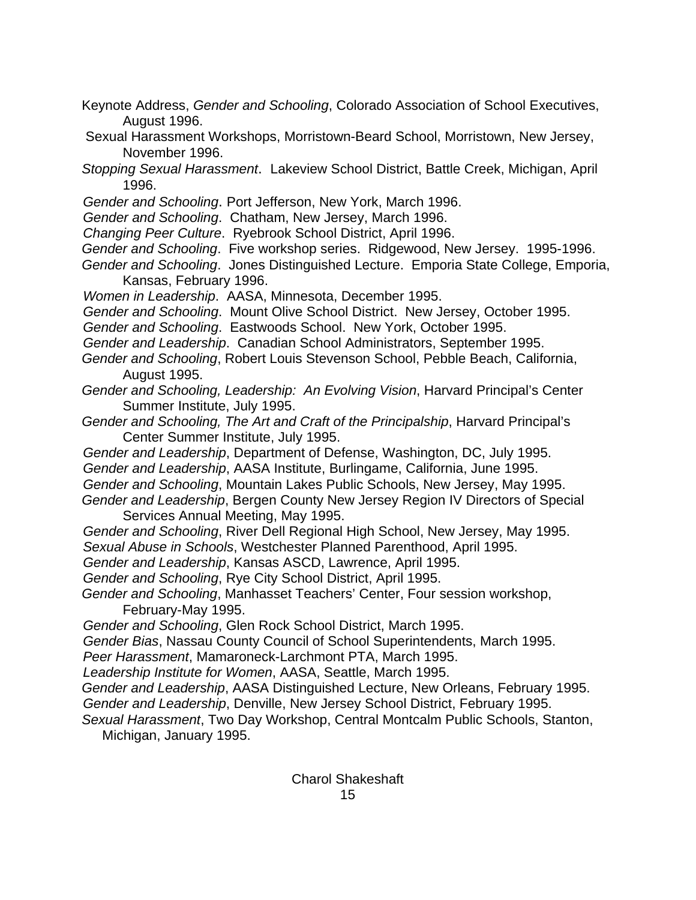- Keynote Address, *Gender and Schooling*, Colorado Association of School Executives, August 1996.
- Sexual Harassment Workshops, Morristown-Beard School, Morristown, New Jersey, November 1996.
- *Stopping Sexual Harassment*. Lakeview School District, Battle Creek, Michigan, April 1996.
- *Gender and Schooling*. Port Jefferson, New York, March 1996.
- *Gender and Schooling*. Chatham, New Jersey, March 1996.
- *Changing Peer Culture*. Ryebrook School District, April 1996.
- *Gender and Schooling*. Five workshop series. Ridgewood, New Jersey. 1995-1996.
- *Gender and Schooling*. Jones Distinguished Lecture. Emporia State College, Emporia, Kansas, February 1996.
- *Women in Leadership*. AASA, Minnesota, December 1995.
- *Gender and Schooling*. Mount Olive School District. New Jersey, October 1995.
- *Gender and Schooling*. Eastwoods School. New York, October 1995.
- *Gender and Leadership*. Canadian School Administrators, September 1995.
- *Gender and Schooling*, Robert Louis Stevenson School, Pebble Beach, California, August 1995.
- *Gender and Schooling, Leadership: An Evolving Vision*, Harvard Principal's Center Summer Institute, July 1995.
- *Gender and Schooling, The Art and Craft of the Principalship*, Harvard Principal's Center Summer Institute, July 1995.
- *Gender and Leadership*, Department of Defense, Washington, DC, July 1995. *Gender and Leadership*, AASA Institute, Burlingame, California, June 1995. *Gender and Schooling*, Mountain Lakes Public Schools, New Jersey, May 1995. *Gender and Leadership*, Bergen County New Jersey Region IV Directors of Special
	- Services Annual Meeting, May 1995.
- *Gender and Schooling*, River Dell Regional High School, New Jersey, May 1995. *Sexual Abuse in Schools*, Westchester Planned Parenthood, April 1995.
- *Gender and Leadership*, Kansas ASCD, Lawrence, April 1995.
- *Gender and Schooling*, Rye City School District, April 1995.
- *Gender and Schooling*, Manhasset Teachers' Center, Four session workshop, February-May 1995.
- *Gender and Schooling*, Glen Rock School District, March 1995.
- *Gender Bias*, Nassau County Council of School Superintendents, March 1995.
- *Peer Harassment*, Mamaroneck-Larchmont PTA, March 1995.
- *Leadership Institute for Women*, AASA, Seattle, March 1995.
- *Gender and Leadership*, AASA Distinguished Lecture, New Orleans, February 1995.
- *Gender and Leadership*, Denville, New Jersey School District, February 1995.
- *Sexual Harassment*, Two Day Workshop, Central Montcalm Public Schools, Stanton, Michigan, January 1995.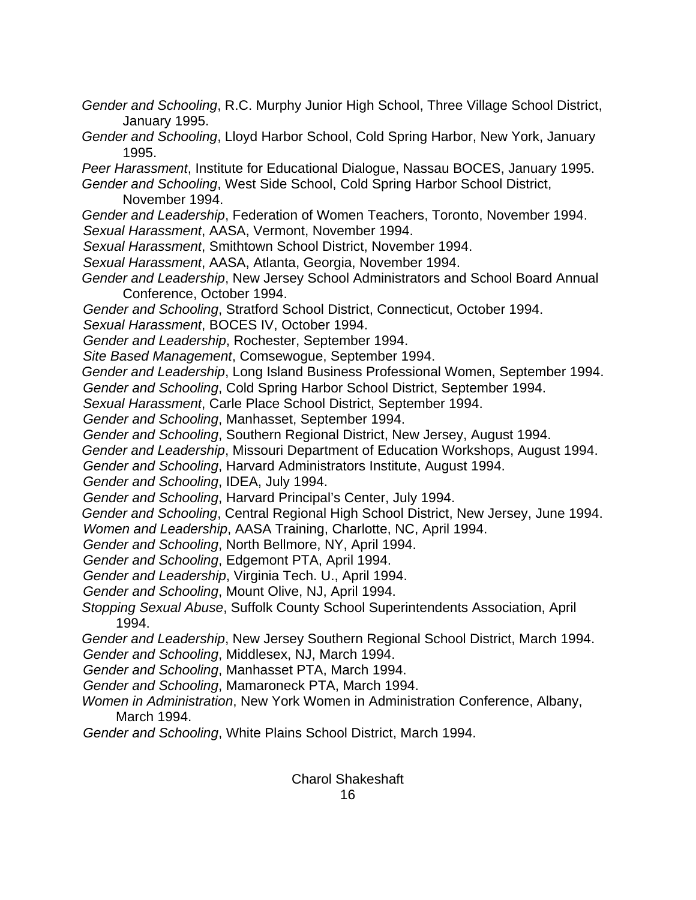- *Gender and Schooling*, R.C. Murphy Junior High School, Three Village School District, January 1995.
- *Gender and Schooling*, Lloyd Harbor School, Cold Spring Harbor, New York, January 1995.

*Peer Harassment*, Institute for Educational Dialogue, Nassau BOCES, January 1995. *Gender and Schooling*, West Side School, Cold Spring Harbor School District,

November 1994.

- *Gender and Leadership*, Federation of Women Teachers, Toronto, November 1994. *Sexual Harassment*, AASA, Vermont, November 1994.
- *Sexual Harassment*, Smithtown School District, November 1994.
- *Sexual Harassment*, AASA, Atlanta, Georgia, November 1994.
- *Gender and Leadership*, New Jersey School Administrators and School Board Annual Conference, October 1994.
- *Gender and Schooling*, Stratford School District, Connecticut, October 1994.
- *Sexual Harassment*, BOCES IV, October 1994.
- *Gender and Leadership*, Rochester, September 1994.
- *Site Based Management*, Comsewogue, September 1994.
- *Gender and Leadership*, Long Island Business Professional Women, September 1994. *Gender and Schooling*, Cold Spring Harbor School District, September 1994.
- *Sexual Harassment*, Carle Place School District, September 1994.
- *Gender and Schooling*, Manhasset, September 1994.
- *Gender and Schooling*, Southern Regional District, New Jersey, August 1994.
- *Gender and Leadership*, Missouri Department of Education Workshops, August 1994.
- *Gender and Schooling*, Harvard Administrators Institute, August 1994.
- *Gender and Schooling*, IDEA, July 1994.
- *Gender and Schooling*, Harvard Principal's Center, July 1994.
- *Gender and Schooling*, Central Regional High School District, New Jersey, June 1994. *Women and Leadership*, AASA Training, Charlotte, NC, April 1994.
- *Gender and Schooling*, North Bellmore, NY, April 1994.
- *Gender and Schooling*, Edgemont PTA, April 1994.
- *Gender and Leadership*, Virginia Tech. U., April 1994.
- *Gender and Schooling*, Mount Olive, NJ, April 1994.
- *Stopping Sexual Abuse*, Suffolk County School Superintendents Association, April 1994.
- *Gender and Leadership*, New Jersey Southern Regional School District, March 1994. *Gender and Schooling*, Middlesex, NJ, March 1994.
- *Gender and Schooling*, Manhasset PTA, March 1994.
- *Gender and Schooling*, Mamaroneck PTA, March 1994.
- *Women in Administration*, New York Women in Administration Conference, Albany, March 1994.
- *Gender and Schooling*, White Plains School District, March 1994.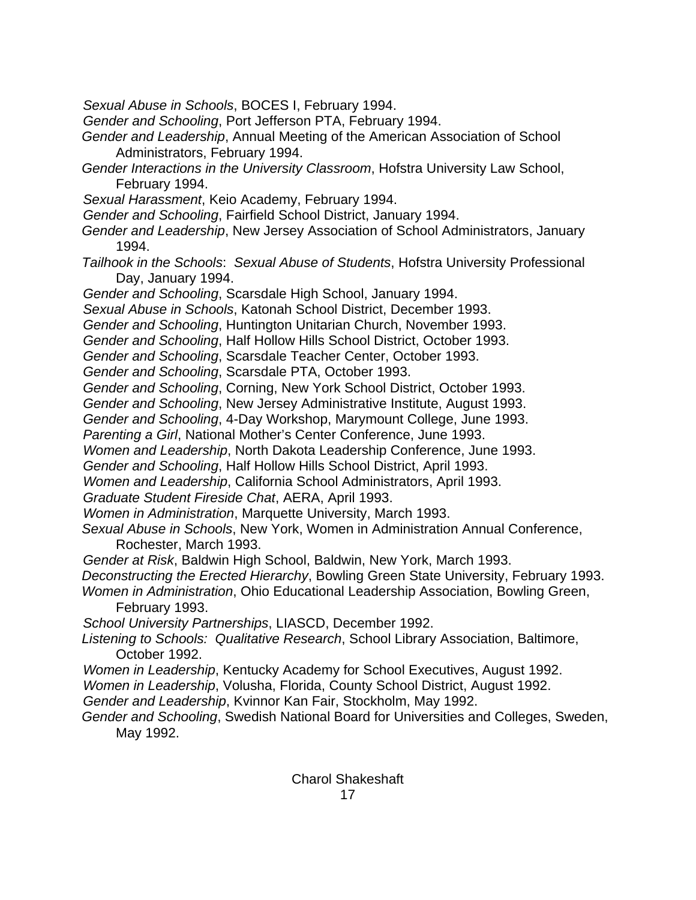*Sexual Abuse in Schools*, BOCES I, February 1994.

*Gender and Schooling*, Port Jefferson PTA, February 1994.

- *Gender and Leadership*, Annual Meeting of the American Association of School Administrators, February 1994.
- *Gender Interactions in the University Classroom*, Hofstra University Law School, February 1994.
- *Sexual Harassment*, Keio Academy, February 1994.
- *Gender and Schooling*, Fairfield School District, January 1994.
- *Gender and Leadership*, New Jersey Association of School Administrators, January 1994.
- *Tailhook in the Schools*: *Sexual Abuse of Students*, Hofstra University Professional Day, January 1994.
- *Gender and Schooling*, Scarsdale High School, January 1994.
- *Sexual Abuse in Schools*, Katonah School District, December 1993.
- *Gender and Schooling*, Huntington Unitarian Church, November 1993.
- *Gender and Schooling*, Half Hollow Hills School District, October 1993.
- *Gender and Schooling*, Scarsdale Teacher Center, October 1993.
- *Gender and Schooling*, Scarsdale PTA, October 1993.
- *Gender and Schooling*, Corning, New York School District, October 1993.
- *Gender and Schooling*, New Jersey Administrative Institute, August 1993.
- *Gender and Schooling*, 4-Day Workshop, Marymount College, June 1993.
- *Parenting a Girl*, National Mother's Center Conference, June 1993.
- *Women and Leadership*, North Dakota Leadership Conference, June 1993.
- *Gender and Schooling*, Half Hollow Hills School District, April 1993.
- *Women and Leadership*, California School Administrators, April 1993.
- *Graduate Student Fireside Chat*, AERA, April 1993.
- *Women in Administration*, Marquette University, March 1993.
- *Sexual Abuse in Schools*, New York, Women in Administration Annual Conference, Rochester, March 1993.
- *Gender at Risk*, Baldwin High School, Baldwin, New York, March 1993.
- *Deconstructing the Erected Hierarchy*, Bowling Green State University, February 1993.
- *Women in Administration*, Ohio Educational Leadership Association, Bowling Green, February 1993.
- *School University Partnerships*, LIASCD, December 1992.
- *Listening to Schools: Qualitative Research*, School Library Association, Baltimore, October 1992.
- *Women in Leadership*, Kentucky Academy for School Executives, August 1992.
- *Women in Leadership*, Volusha, Florida, County School District, August 1992.
- *Gender and Leadership*, Kvinnor Kan Fair, Stockholm, May 1992.
- *Gender and Schooling*, Swedish National Board for Universities and Colleges, Sweden, May 1992.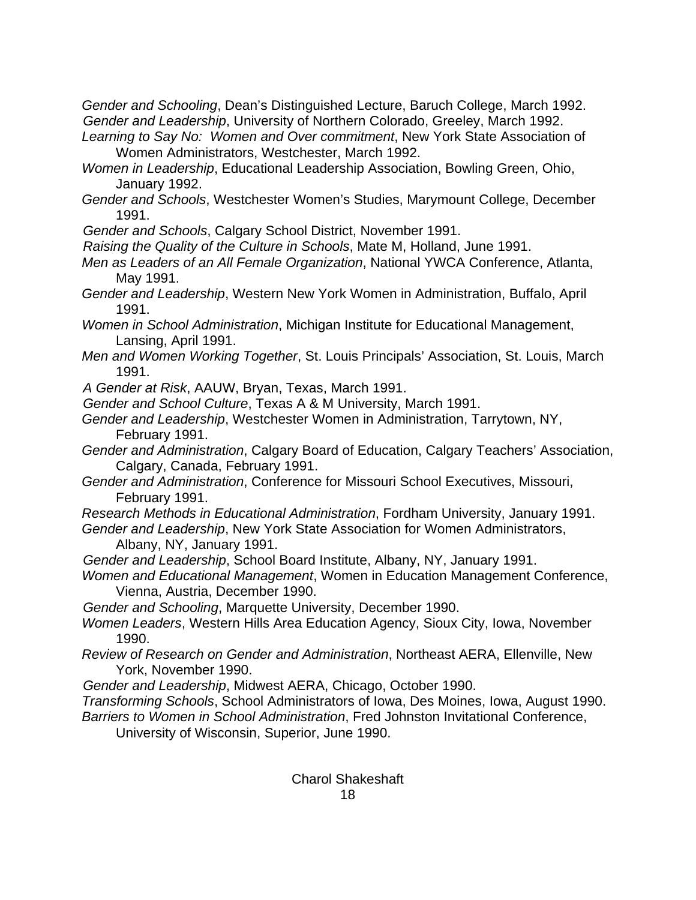*Gender and Schooling*, Dean's Distinguished Lecture, Baruch College, March 1992. *Gender and Leadership*, University of Northern Colorado, Greeley, March 1992.

*Learning to Say No: Women and Over commitment*, New York State Association of Women Administrators, Westchester, March 1992.

- *Women in Leadership*, Educational Leadership Association, Bowling Green, Ohio, January 1992.
- *Gender and Schools*, Westchester Women's Studies, Marymount College, December 1991.

*Gender and Schools*, Calgary School District, November 1991.

*Raising the Quality of the Culture in Schools*, Mate M, Holland, June 1991.

- *Men as Leaders of an All Female Organization*, National YWCA Conference, Atlanta, May 1991.
- *Gender and Leadership*, Western New York Women in Administration, Buffalo, April 1991.
- *Women in School Administration*, Michigan Institute for Educational Management, Lansing, April 1991.
- *Men and Women Working Together*, St. Louis Principals' Association, St. Louis, March 1991.
- *A Gender at Risk*, AAUW, Bryan, Texas, March 1991.
- *Gender and School Culture*, Texas A & M University, March 1991.
- *Gender and Leadership*, Westchester Women in Administration, Tarrytown, NY, February 1991.
- *Gender and Administration*, Calgary Board of Education, Calgary Teachers' Association, Calgary, Canada, February 1991.
- *Gender and Administration*, Conference for Missouri School Executives, Missouri, February 1991.
- *Research Methods in Educational Administration*, Fordham University, January 1991.
- *Gender and Leadership*, New York State Association for Women Administrators, Albany, NY, January 1991.
- *Gender and Leadership*, School Board Institute, Albany, NY, January 1991.
- *Women and Educational Management*, Women in Education Management Conference, Vienna, Austria, December 1990.

*Gender and Schooling*, Marquette University, December 1990.

- *Women Leaders*, Western Hills Area Education Agency, Sioux City, Iowa, November 1990.
- *Review of Research on Gender and Administration*, Northeast AERA, Ellenville, New York, November 1990.
- *Gender and Leadership*, Midwest AERA, Chicago, October 1990.
- *Transforming Schools*, School Administrators of Iowa, Des Moines, Iowa, August 1990.
- *Barriers to Women in School Administration*, Fred Johnston Invitational Conference, University of Wisconsin, Superior, June 1990.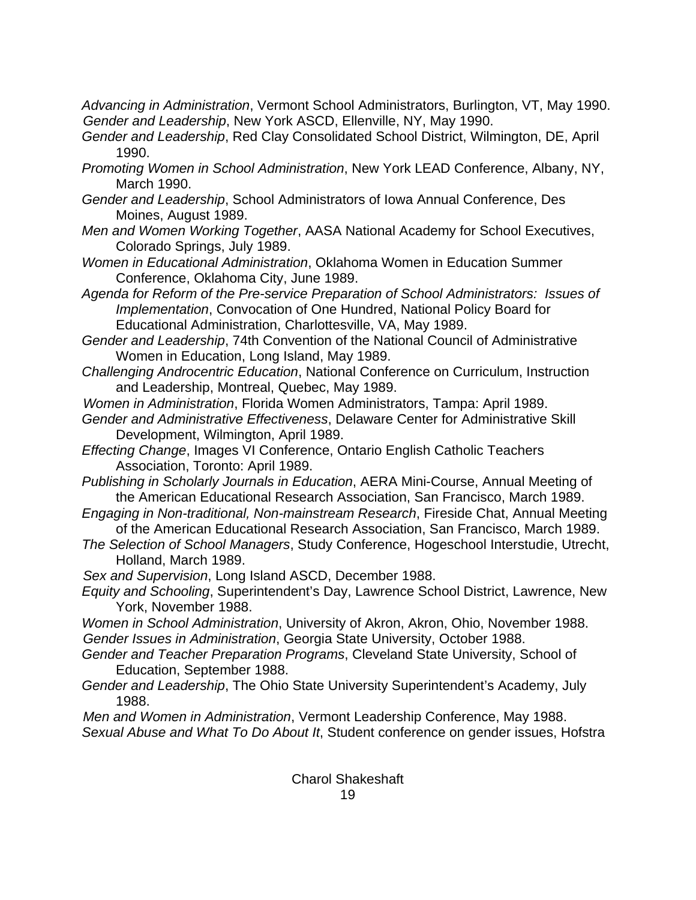*Advancing in Administration*, Vermont School Administrators, Burlington, VT, May 1990. *Gender and Leadership*, New York ASCD, Ellenville, NY, May 1990.

- *Gender and Leadership*, Red Clay Consolidated School District, Wilmington, DE, April 1990.
- *Promoting Women in School Administration*, New York LEAD Conference, Albany, NY, March 1990.
- *Gender and Leadership*, School Administrators of Iowa Annual Conference, Des Moines, August 1989.
- *Men and Women Working Together*, AASA National Academy for School Executives, Colorado Springs, July 1989.
- *Women in Educational Administration*, Oklahoma Women in Education Summer Conference, Oklahoma City, June 1989.
- *Agenda for Reform of the Pre-service Preparation of School Administrators: Issues of Implementation*, Convocation of One Hundred, National Policy Board for Educational Administration, Charlottesville, VA, May 1989.
- *Gender and Leadership*, 74th Convention of the National Council of Administrative Women in Education, Long Island, May 1989.
- *Challenging Androcentric Education*, National Conference on Curriculum, Instruction and Leadership, Montreal, Quebec, May 1989.
- *Women in Administration*, Florida Women Administrators, Tampa: April 1989.
- *Gender and Administrative Effectiveness*, Delaware Center for Administrative Skill Development, Wilmington, April 1989.
- *Effecting Change*, Images VI Conference, Ontario English Catholic Teachers Association, Toronto: April 1989.
- *Publishing in Scholarly Journals in Education*, AERA Mini-Course, Annual Meeting of the American Educational Research Association, San Francisco, March 1989.
- *Engaging in Non-traditional, Non-mainstream Research*, Fireside Chat, Annual Meeting of the American Educational Research Association, San Francisco, March 1989.
- *The Selection of School Managers*, Study Conference, Hogeschool Interstudie, Utrecht, Holland, March 1989.
- *Sex and Supervision*, Long Island ASCD, December 1988.
- *Equity and Schooling*, Superintendent's Day, Lawrence School District, Lawrence, New York, November 1988.
- *Women in School Administration*, University of Akron, Akron, Ohio, November 1988. *Gender Issues in Administration*, Georgia State University, October 1988.
- *Gender and Teacher Preparation Programs*, Cleveland State University, School of Education, September 1988.
- *Gender and Leadership*, The Ohio State University Superintendent's Academy, July 1988.
- *Men and Women in Administration*, Vermont Leadership Conference, May 1988. *Sexual Abuse and What To Do About It*, Student conference on gender issues, Hofstra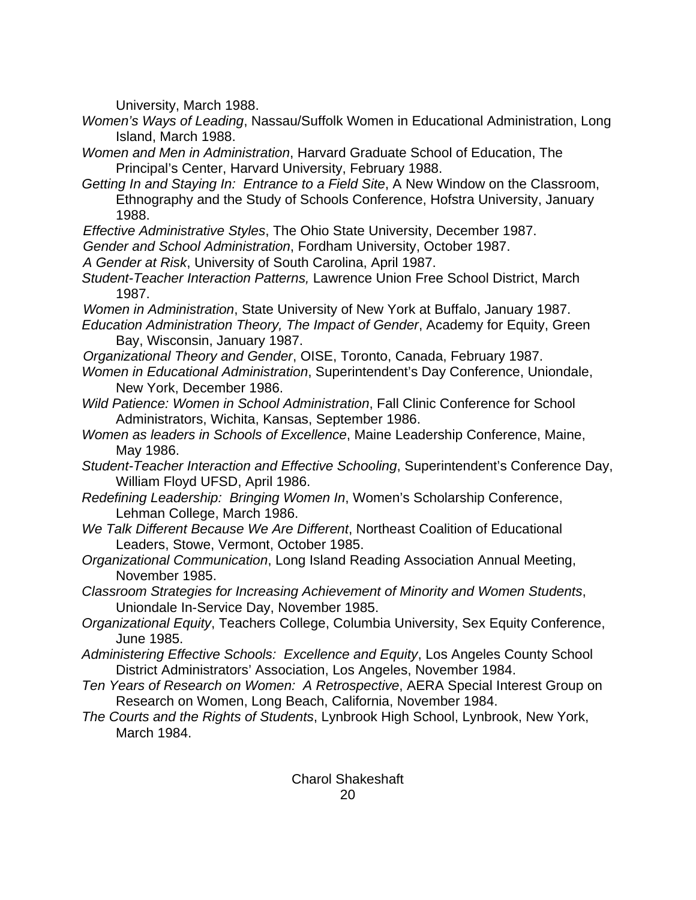University, March 1988.

- *Women's Ways of Leading*, Nassau/Suffolk Women in Educational Administration, Long Island, March 1988.
- *Women and Men in Administration*, Harvard Graduate School of Education, The Principal's Center, Harvard University, February 1988.
- *Getting In and Staying In: Entrance to a Field Site*, A New Window on the Classroom, Ethnography and the Study of Schools Conference, Hofstra University, January 1988.
- *Effective Administrative Styles*, The Ohio State University, December 1987.
- *Gender and School Administration*, Fordham University, October 1987.
- *A Gender at Risk*, University of South Carolina, April 1987.
- *Student-Teacher Interaction Patterns,* Lawrence Union Free School District, March 1987.
- *Women in Administration*, State University of New York at Buffalo, January 1987.
- *Education Administration Theory, The Impact of Gender*, Academy for Equity, Green Bay, Wisconsin, January 1987.
- *Organizational Theory and Gender*, OISE, Toronto, Canada, February 1987.
- *Women in Educational Administration*, Superintendent's Day Conference, Uniondale, New York, December 1986.
- *Wild Patience: Women in School Administration*, Fall Clinic Conference for School Administrators, Wichita, Kansas, September 1986.
- *Women as leaders in Schools of Excellence*, Maine Leadership Conference, Maine, May 1986.
- *Student-Teacher Interaction and Effective Schooling*, Superintendent's Conference Day, William Floyd UFSD, April 1986.
- *Redefining Leadership: Bringing Women In*, Women's Scholarship Conference, Lehman College, March 1986.
- *We Talk Different Because We Are Different*, Northeast Coalition of Educational Leaders, Stowe, Vermont, October 1985.
- *Organizational Communication*, Long Island Reading Association Annual Meeting, November 1985.
- *Classroom Strategies for Increasing Achievement of Minority and Women Students*, Uniondale In-Service Day, November 1985.
- *Organizational Equity*, Teachers College, Columbia University, Sex Equity Conference, June 1985.
- *Administering Effective Schools: Excellence and Equity*, Los Angeles County School District Administrators' Association, Los Angeles, November 1984.
- *Ten Years of Research on Women: A Retrospective*, AERA Special Interest Group on Research on Women, Long Beach, California, November 1984.
- *The Courts and the Rights of Students*, Lynbrook High School, Lynbrook, New York, March 1984.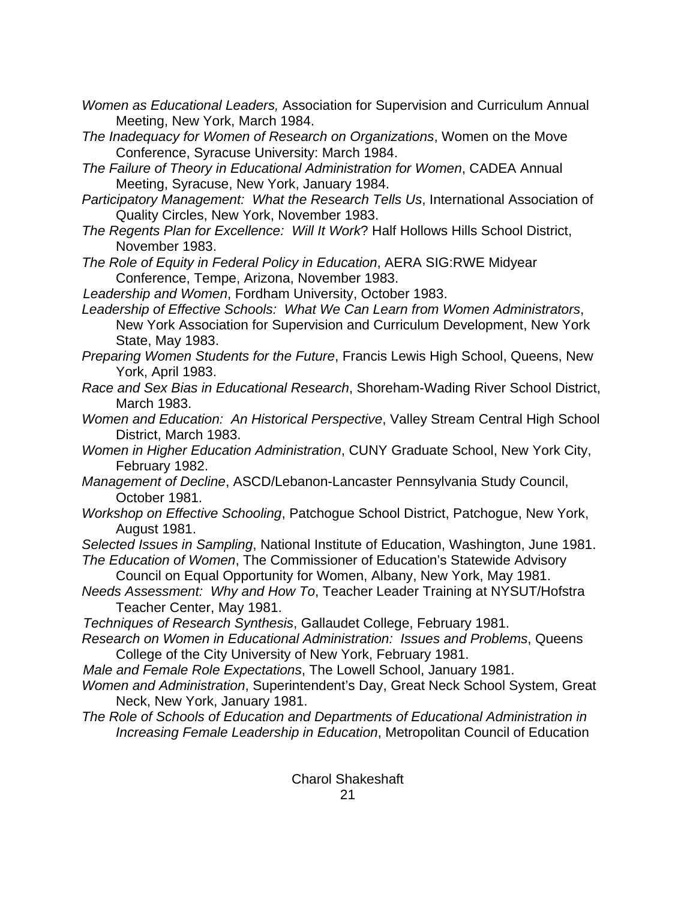- *Women as Educational Leaders,* Association for Supervision and Curriculum Annual Meeting, New York, March 1984.
- *The Inadequacy for Women of Research on Organizations*, Women on the Move Conference, Syracuse University: March 1984.
- *The Failure of Theory in Educational Administration for Women*, CADEA Annual Meeting, Syracuse, New York, January 1984.
- *Participatory Management: What the Research Tells Us*, International Association of Quality Circles, New York, November 1983.
- *The Regents Plan for Excellence: Will It Work*? Half Hollows Hills School District, November 1983.
- *The Role of Equity in Federal Policy in Education*, AERA SIG:RWE Midyear Conference, Tempe, Arizona, November 1983.

*Leadership and Women*, Fordham University, October 1983.

- *Leadership of Effective Schools: What We Can Learn from Women Administrators*, New York Association for Supervision and Curriculum Development, New York State, May 1983.
- *Preparing Women Students for the Future*, Francis Lewis High School, Queens, New York, April 1983.
- *Race and Sex Bias in Educational Research*, Shoreham-Wading River School District, March 1983.
- *Women and Education: An Historical Perspective*, Valley Stream Central High School District, March 1983.
- *Women in Higher Education Administration*, CUNY Graduate School, New York City, February 1982.
- *Management of Decline*, ASCD/Lebanon-Lancaster Pennsylvania Study Council, October 1981.
- *Workshop on Effective Schooling*, Patchogue School District, Patchogue, New York, August 1981.

*Selected Issues in Sampling*, National Institute of Education, Washington, June 1981.

- *The Education of Women*, The Commissioner of Education's Statewide Advisory Council on Equal Opportunity for Women, Albany, New York, May 1981.
- *Needs Assessment: Why and How To*, Teacher Leader Training at NYSUT/Hofstra Teacher Center, May 1981.
- *Techniques of Research Synthesis*, Gallaudet College, February 1981.
- *Research on Women in Educational Administration: Issues and Problems*, Queens College of the City University of New York, February 1981.
- *Male and Female Role Expectations*, The Lowell School, January 1981.
- *Women and Administration*, Superintendent's Day, Great Neck School System, Great Neck, New York, January 1981.
- *The Role of Schools of Education and Departments of Educational Administration in Increasing Female Leadership in Education*, Metropolitan Council of Education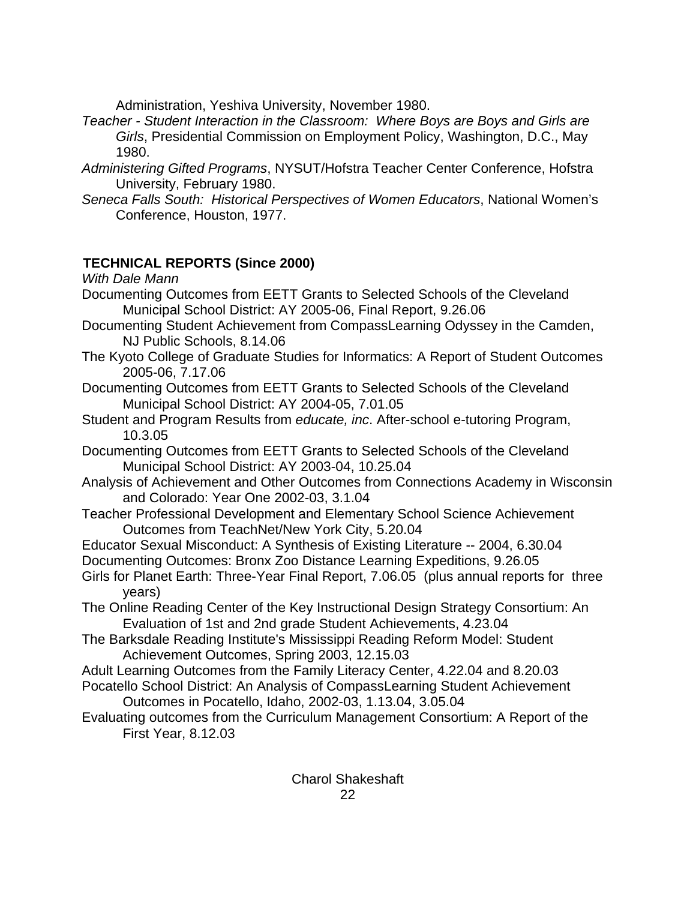Administration, Yeshiva University, November 1980.

- *Teacher Student Interaction in the Classroom: Where Boys are Boys and Girls are Girls*, Presidential Commission on Employment Policy, Washington, D.C., May 1980.
- *Administering Gifted Programs*, NYSUT/Hofstra Teacher Center Conference, Hofstra University, February 1980.
- *Seneca Falls South: Historical Perspectives of Women Educators*, National Women's Conference, Houston, 1977.

# **TECHNICAL REPORTS (Since 2000)**

*With Dale Mann* 

- Documenting Outcomes from EETT Grants to Selected Schools of the Cleveland Municipal School District: AY 2005-06, Final Report, 9.26.06
- Documenting Student Achievement from CompassLearning Odyssey in the Camden, NJ Public Schools, 8.14.06
- The Kyoto College of Graduate Studies for Informatics: A Report of Student Outcomes 2005-06, 7.17.06
- Documenting Outcomes from EETT Grants to Selected Schools of the Cleveland Municipal School District: AY 2004-05, 7.01.05
- Student and Program Results from *educate, inc*. After-school e-tutoring Program, 10.3.05
- Documenting Outcomes from EETT Grants to Selected Schools of the Cleveland Municipal School District: AY 2003-04, 10.25.04
- Analysis of Achievement and Other Outcomes from Connections Academy in Wisconsin and Colorado: Year One 2002-03, 3.1.04
- Teacher Professional Development and Elementary School Science Achievement Outcomes from TeachNet/New York City, 5.20.04
- Educator Sexual Misconduct: A Synthesis of Existing Literature -- 2004, 6.30.04
- Documenting Outcomes: Bronx Zoo Distance Learning Expeditions, 9.26.05 Girls for Planet Earth: Three-Year Final Report, 7.06.05 (plus annual reports for three years)
- The Online Reading Center of the Key Instructional Design Strategy Consortium: An Evaluation of 1st and 2nd grade Student Achievements, 4.23.04
- The Barksdale Reading Institute's Mississippi Reading Reform Model: Student Achievement Outcomes, Spring 2003, 12.15.03
- Adult Learning Outcomes from the Family Literacy Center, 4.22.04 and 8.20.03 Pocatello School District: An Analysis of CompassLearning Student Achievement
	- Outcomes in Pocatello, Idaho, 2002-03, 1.13.04, 3.05.04
- Evaluating outcomes from the Curriculum Management Consortium: A Report of the First Year, 8.12.03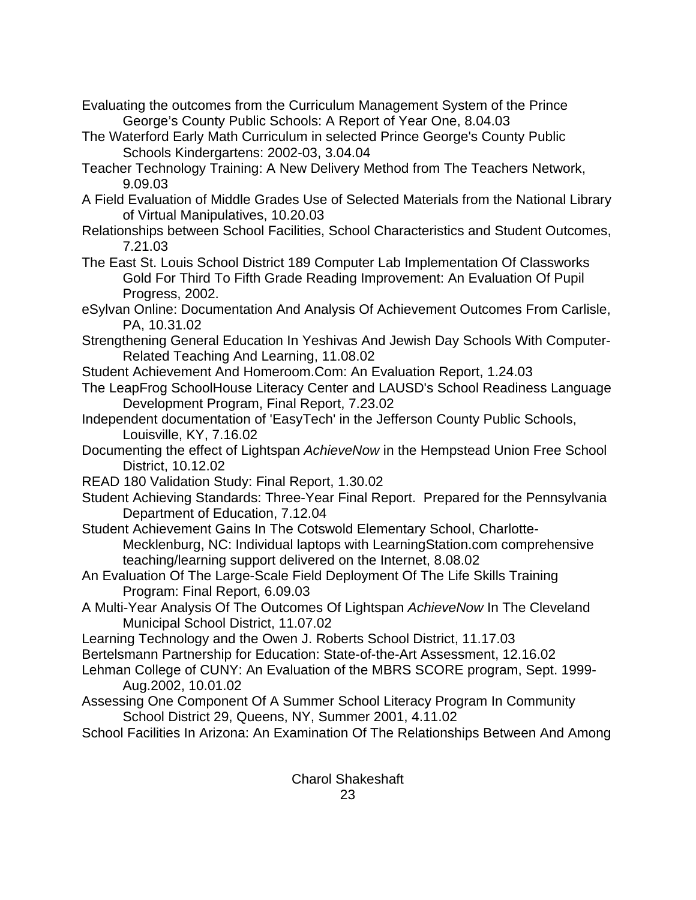Evaluating the outcomes from the Curriculum Management System of the Prince George's County Public Schools: A Report of Year One, 8.04.03

- The Waterford Early Math Curriculum in selected Prince George's County Public Schools Kindergartens: 2002-03, 3.04.04
- Teacher Technology Training: A New Delivery Method from The Teachers Network, 9.09.03
- A Field Evaluation of Middle Grades Use of Selected Materials from the National Library of Virtual Manipulatives, 10.20.03
- Relationships between School Facilities, School Characteristics and Student Outcomes, 7.21.03
- The East St. Louis School District 189 Computer Lab Implementation Of Classworks Gold For Third To Fifth Grade Reading Improvement: An Evaluation Of Pupil Progress, 2002.
- eSylvan Online: Documentation And Analysis Of Achievement Outcomes From Carlisle, PA, 10.31.02
- Strengthening General Education In Yeshivas And Jewish Day Schools With Computer-Related Teaching And Learning, 11.08.02
- Student Achievement And Homeroom.Com: An Evaluation Report, 1.24.03
- The LeapFrog SchoolHouse Literacy Center and LAUSD's School Readiness Language Development Program, Final Report, 7.23.02
- Independent documentation of 'EasyTech' in the Jefferson County Public Schools, Louisville, KY, 7.16.02
- Documenting the effect of Lightspan *AchieveNow* in the Hempstead Union Free School District, 10.12.02
- READ 180 Validation Study: Final Report, 1.30.02
- Student Achieving Standards: Three-Year Final Report. Prepared for the Pennsylvania Department of Education, 7.12.04
- Student Achievement Gains In The Cotswold Elementary School, Charlotte-Mecklenburg, NC: Individual laptops with LearningStation.com comprehensive teaching/learning support delivered on the Internet, 8.08.02
- An Evaluation Of The Large-Scale Field Deployment Of The Life Skills Training Program: Final Report, 6.09.03
- A Multi-Year Analysis Of The Outcomes Of Lightspan *AchieveNow* In The Cleveland Municipal School District, 11.07.02
- Learning Technology and the Owen J. Roberts School District, 11.17.03
- Bertelsmann Partnership for Education: State-of-the-Art Assessment, 12.16.02
- Lehman College of CUNY: An Evaluation of the MBRS SCORE program, Sept. 1999- Aug.2002, 10.01.02
- Assessing One Component Of A Summer School Literacy Program In Community School District 29, Queens, NY, Summer 2001, 4.11.02
- School Facilities In Arizona: An Examination Of The Relationships Between And Among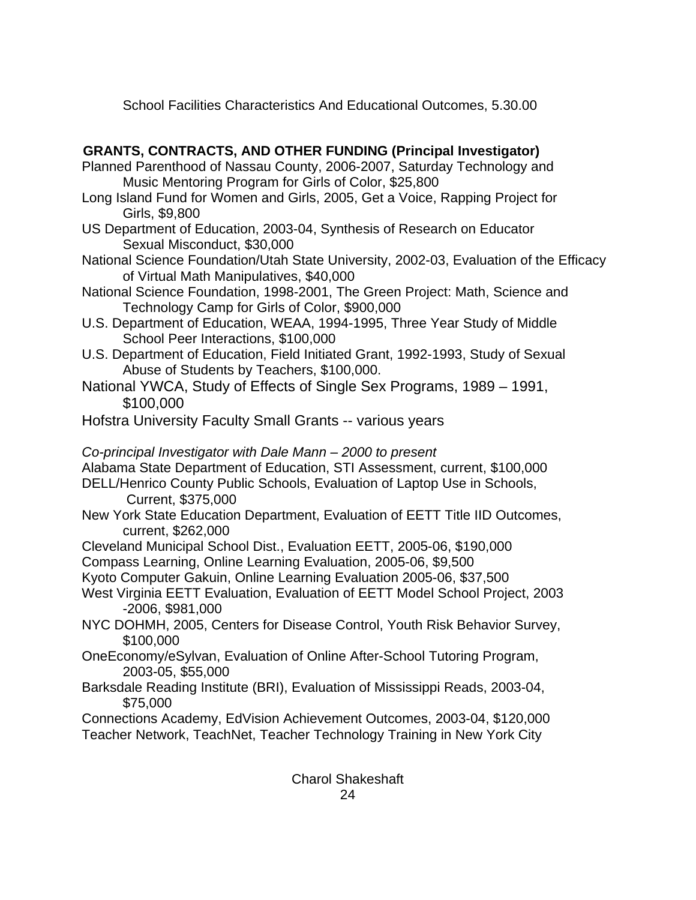School Facilities Characteristics And Educational Outcomes, 5.30.00

# **GRANTS, CONTRACTS, AND OTHER FUNDING (Principal Investigator)**

- Planned Parenthood of Nassau County, 2006-2007, Saturday Technology and Music Mentoring Program for Girls of Color, \$25,800
- Long Island Fund for Women and Girls, 2005, Get a Voice, Rapping Project for Girls, \$9,800
- US Department of Education, 2003-04, Synthesis of Research on Educator Sexual Misconduct, \$30,000
- National Science Foundation/Utah State University, 2002-03, Evaluation of the Efficacy of Virtual Math Manipulatives, \$40,000
- National Science Foundation, 1998-2001, The Green Project: Math, Science and Technology Camp for Girls of Color, \$900,000
- U.S. Department of Education, WEAA, 1994-1995, Three Year Study of Middle School Peer Interactions, \$100,000
- U.S. Department of Education, Field Initiated Grant, 1992-1993, Study of Sexual Abuse of Students by Teachers, \$100,000.
- National YWCA, Study of Effects of Single Sex Programs, 1989 1991, \$100,000
- Hofstra University Faculty Small Grants -- various years

*Co-principal Investigator with Dale Mann – 2000 to present* 

Alabama State Department of Education, STI Assessment, current, \$100,000

DELL/Henrico County Public Schools, Evaluation of Laptop Use in Schools, Current, \$375,000

- New York State Education Department, Evaluation of EETT Title IID Outcomes, current, \$262,000
- Cleveland Municipal School Dist., Evaluation EETT, 2005-06, \$190,000 Compass Learning, Online Learning Evaluation, 2005-06, \$9,500

Kyoto Computer Gakuin, Online Learning Evaluation 2005-06, \$37,500

- West Virginia EETT Evaluation, Evaluation of EETT Model School Project, 2003 -2006, \$981,000
- NYC DOHMH, 2005, Centers for Disease Control, Youth Risk Behavior Survey, \$100,000
- OneEconomy/eSylvan, Evaluation of Online After-School Tutoring Program, 2003-05, \$55,000
- Barksdale Reading Institute (BRI), Evaluation of Mississippi Reads, 2003-04, \$75,000

Connections Academy, EdVision Achievement Outcomes, 2003-04, \$120,000 Teacher Network, TeachNet, Teacher Technology Training in New York City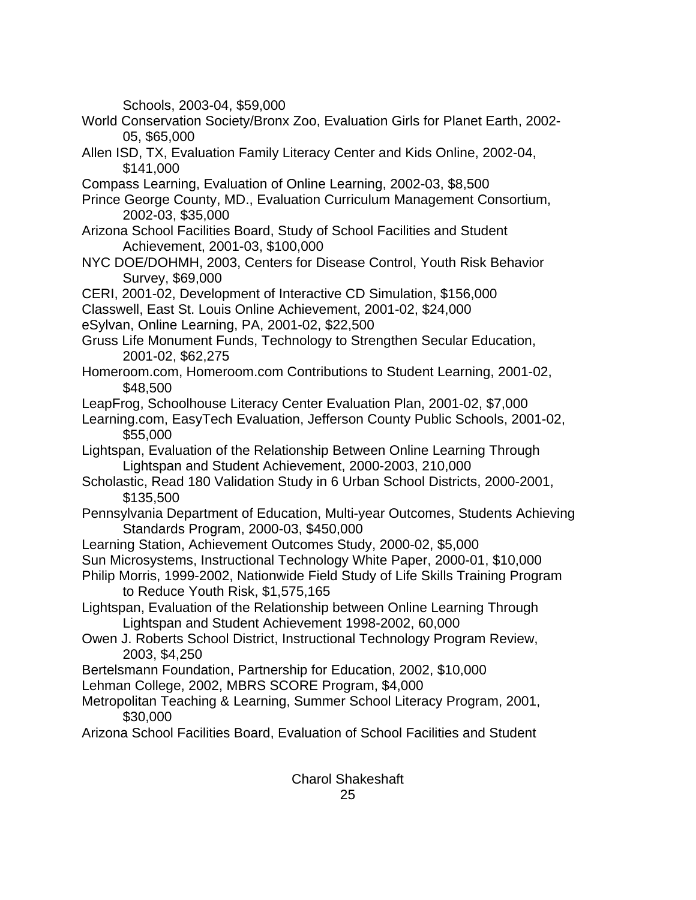Schools, 2003-04, \$59,000

- World Conservation Society/Bronx Zoo, Evaluation Girls for Planet Earth, 2002- 05, \$65,000
- Allen ISD, TX, Evaluation Family Literacy Center and Kids Online, 2002-04, \$141,000
- Compass Learning, Evaluation of Online Learning, 2002-03, \$8,500
- Prince George County, MD., Evaluation Curriculum Management Consortium, 2002-03, \$35,000
- Arizona School Facilities Board, Study of School Facilities and Student Achievement, 2001-03, \$100,000
- NYC DOE/DOHMH, 2003, Centers for Disease Control, Youth Risk Behavior Survey, \$69,000
- CERI, 2001-02, Development of Interactive CD Simulation, \$156,000
- Classwell, East St. Louis Online Achievement, 2001-02, \$24,000
- eSylvan, Online Learning, PA, 2001-02, \$22,500
- Gruss Life Monument Funds, Technology to Strengthen Secular Education, 2001-02, \$62,275
- Homeroom.com, Homeroom.com Contributions to Student Learning, 2001-02, \$48,500
- LeapFrog, Schoolhouse Literacy Center Evaluation Plan, 2001-02, \$7,000
- Learning.com, EasyTech Evaluation, Jefferson County Public Schools, 2001-02, \$55,000
- Lightspan, Evaluation of the Relationship Between Online Learning Through Lightspan and Student Achievement, 2000-2003, 210,000
- Scholastic, Read 180 Validation Study in 6 Urban School Districts, 2000-2001, \$135,500
- Pennsylvania Department of Education, Multi-year Outcomes, Students Achieving Standards Program, 2000-03, \$450,000
- Learning Station, Achievement Outcomes Study, 2000-02, \$5,000
- Sun Microsystems, Instructional Technology White Paper, 2000-01, \$10,000
- Philip Morris, 1999-2002, Nationwide Field Study of Life Skills Training Program to Reduce Youth Risk, \$1,575,165
- Lightspan, Evaluation of the Relationship between Online Learning Through Lightspan and Student Achievement 1998-2002, 60,000
- Owen J. Roberts School District, Instructional Technology Program Review, 2003, \$4,250
- Bertelsmann Foundation, Partnership for Education, 2002, \$10,000
- Lehman College, 2002, MBRS SCORE Program, \$4,000
- Metropolitan Teaching & Learning, Summer School Literacy Program, 2001, \$30,000
- Arizona School Facilities Board, Evaluation of School Facilities and Student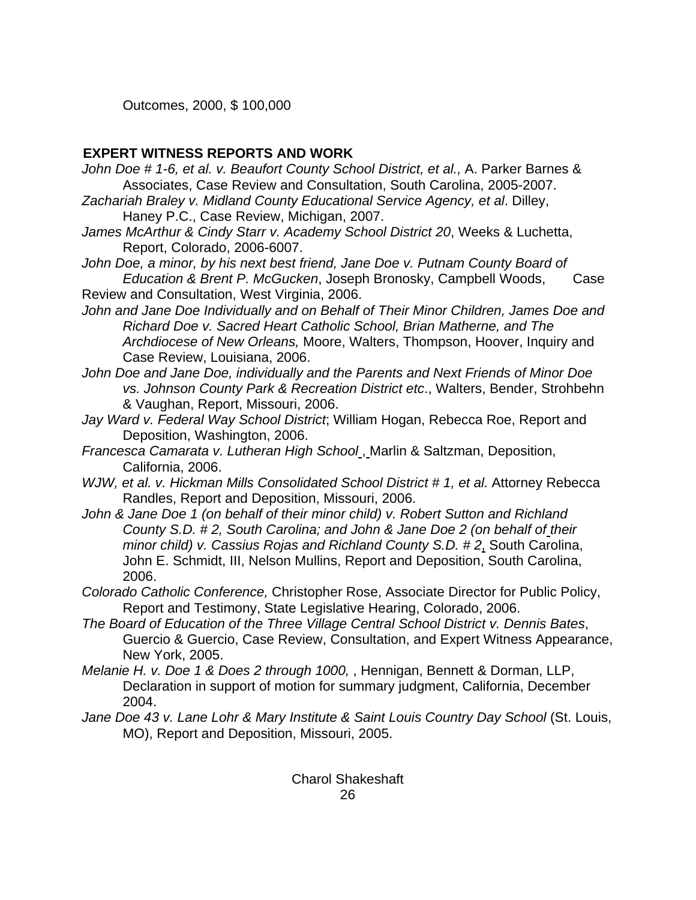Outcomes, 2000, \$ 100,000

## **EXPERT WITNESS REPORTS AND WORK**

- John Doe # 1-6, et al. v. Beaufort County School District, et al., A. Parker Barnes & Associates, Case Review and Consultation, South Carolina, 2005-2007.
- *Zachariah Braley v. Midland County Educational Service Agency, et al*. Dilley, Haney P.C., Case Review, Michigan, 2007.
- *James McArthur & Cindy Starr v. Academy School District 20*, Weeks & Luchetta, Report, Colorado, 2006-6007.
- John Doe, a minor, by his next best friend, Jane Doe v. Putnam County Board of  *Education & Brent P. McGucken*, Joseph Bronosky, Campbell Woods, Case Review and Consultation, West Virginia, 2006.
- *John and Jane Doe Individually and on Behalf of Their Minor Children, James Doe and Richard Doe v. Sacred Heart Catholic School, Brian Matherne, and The Archdiocese of New Orleans,* Moore, Walters, Thompson, Hoover, Inquiry and Case Review, Louisiana, 2006.
- *John Doe and Jane Doe, individually and the Parents and Next Friends of Minor Doe vs. Johnson County Park & Recreation District etc*., Walters, Bender, Strohbehn & Vaughan, Report, Missouri, 2006.
- *Jay Ward v. Federal Way School District*; William Hogan, Rebecca Roe, Report and Deposition, Washington, 2006.
- *Francesca Camarata v. Lutheran High School* , Marlin & Saltzman, Deposition, California, 2006.
- *WJW, et al. v. Hickman Mills Consolidated School District # 1, et al. Attorney Rebecca* Randles, Report and Deposition, Missouri, 2006.
- *John & Jane Doe 1 (on behalf of their minor child) v. Robert Sutton and Richland County S.D. # 2, South Carolina; and John & Jane Doe 2 (on behalf of their minor child) v. Cassius Rojas and Richland County S.D. # 2*, South Carolina, John E. Schmidt, III, Nelson Mullins, Report and Deposition, South Carolina, 2006.
- *Colorado Catholic Conference,* Christopher Rose, Associate Director for Public Policy, Report and Testimony, State Legislative Hearing, Colorado, 2006.
- *The Board of Education of the Three Village Central School District v. Dennis Bates*, Guercio & Guercio, Case Review, Consultation, and Expert Witness Appearance, New York, 2005.
- *Melanie H. v. Doe 1 & Does 2 through 1000,* , Hennigan, Bennett & Dorman, LLP, Declaration in support of motion for summary judgment, California, December 2004.
- *Jane Doe 43 v. Lane Lohr & Mary Institute & Saint Louis Country Day School* (St. Louis, MO), Report and Deposition, Missouri, 2005.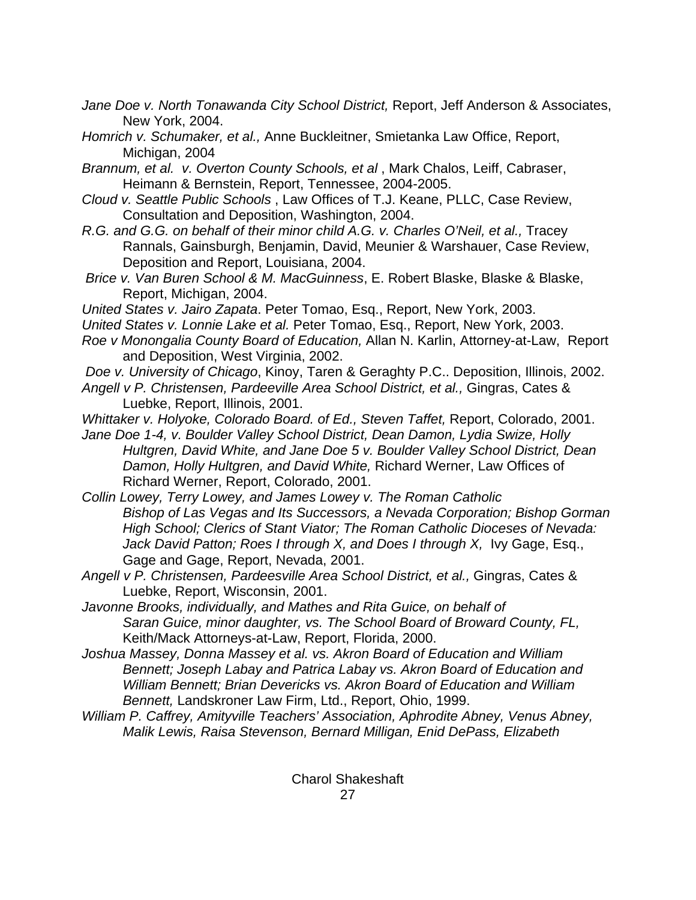- *Jane Doe v. North Tonawanda City School District,* Report, Jeff Anderson & Associates, New York, 2004.
- *Homrich v. Schumaker, et al.,* Anne Buckleitner, Smietanka Law Office, Report, Michigan, 2004
- *Brannum, et al. v. Overton County Schools, et al* , Mark Chalos, Leiff, Cabraser, Heimann & Bernstein, Report, Tennessee, 2004-2005.
- *Cloud v. Seattle Public Schools* , Law Offices of T.J. Keane, PLLC, Case Review, Consultation and Deposition, Washington, 2004.
- *R.G. and G.G. on behalf of their minor child A.G. v. Charles O'Neil, et al., Tracey* Rannals, Gainsburgh, Benjamin, David, Meunier & Warshauer, Case Review, Deposition and Report, Louisiana, 2004.
- *Brice v. Van Buren School & M. MacGuinness*, E. Robert Blaske, Blaske & Blaske, Report, Michigan, 2004.
- *United States v. Jairo Zapata*. Peter Tomao, Esq., Report, New York, 2003.
- *United States v. Lonnie Lake et al.* Peter Tomao, Esq., Report, New York, 2003.
- *Roe v Monongalia County Board of Education,* Allan N. Karlin, Attorney-at-Law, Report and Deposition, West Virginia, 2002.
- *Doe v. University of Chicago*, Kinoy, Taren & Geraghty P.C.. Deposition, Illinois, 2002. *Angell v P. Christensen, Pardeeville Area School District, et al.,* Gingras, Cates &
	- Luebke, Report, Illinois, 2001.
- *Whittaker v. Holyoke, Colorado Board. of Ed., Steven Taffet,* Report, Colorado, 2001.
- *Jane Doe 1-4, v. Boulder Valley School District, Dean Damon, Lydia Swize, Holly Hultgren, David White, and Jane Doe 5 v. Boulder Valley School District, Dean Damon, Holly Hultgren, and David White,* Richard Werner, Law Offices of Richard Werner, Report, Colorado, 2001.
- *Collin Lowey, Terry Lowey, and James Lowey v. The Roman Catholic Bishop of Las Vegas and Its Successors, a Nevada Corporation; Bishop Gorman High School; Clerics of Stant Viator; The Roman Catholic Dioceses of Nevada:*  Jack David Patton; Roes I through X, and Does I through X, Ivy Gage, Esq., Gage and Gage, Report, Nevada, 2001.
- *Angell v P. Christensen, Pardeesville Area School District, et al.,* Gingras, Cates & Luebke, Report, Wisconsin, 2001.
- *Javonne Brooks, individually, and Mathes and Rita Guice, on behalf of Saran Guice, minor daughter, vs. The School Board of Broward County, FL,*  Keith/Mack Attorneys-at-Law, Report, Florida, 2000.
- *Joshua Massey, Donna Massey et al. vs. Akron Board of Education and William Bennett; Joseph Labay and Patrica Labay vs. Akron Board of Education and William Bennett; Brian Devericks vs. Akron Board of Education and William Bennett,* Landskroner Law Firm, Ltd., Report, Ohio, 1999.
- *William P. Caffrey, Amityville Teachers' Association, Aphrodite Abney, Venus Abney, Malik Lewis, Raisa Stevenson, Bernard Milligan, Enid DePass, Elizabeth*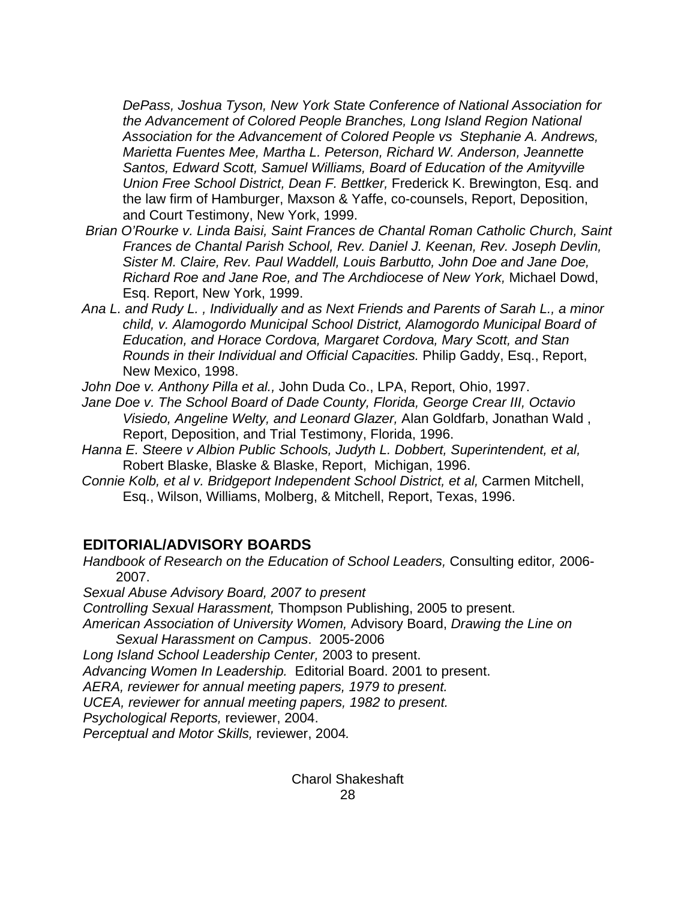*DePass, Joshua Tyson, New York State Conference of National Association for the Advancement of Colored People Branches, Long Island Region National Association for the Advancement of Colored People vs Stephanie A. Andrews, Marietta Fuentes Mee, Martha L. Peterson, Richard W. Anderson, Jeannette Santos, Edward Scott, Samuel Williams, Board of Education of the Amityville Union Free School District, Dean F. Bettker,* Frederick K. Brewington, Esq. and the law firm of Hamburger, Maxson & Yaffe, co-counsels, Report, Deposition, and Court Testimony, New York, 1999.

- *Brian O'Rourke v. Linda Baisi, Saint Frances de Chantal Roman Catholic Church, Saint Frances de Chantal Parish School, Rev. Daniel J. Keenan, Rev. Joseph Devlin, Sister M. Claire, Rev. Paul Waddell, Louis Barbutto, John Doe and Jane Doe, Richard Roe and Jane Roe, and The Archdiocese of New York,* Michael Dowd, Esq. Report, New York, 1999.
- *Ana L. and Rudy L. , Individually and as Next Friends and Parents of Sarah L., a minor child, v. Alamogordo Municipal School District, Alamogordo Municipal Board of Education, and Horace Cordova, Margaret Cordova, Mary Scott, and Stan Rounds in their Individual and Official Capacities.* Philip Gaddy, Esq., Report, New Mexico, 1998.

*John Doe v. Anthony Pilla et al.,* John Duda Co., LPA, Report, Ohio, 1997.

*Jane Doe v. The School Board of Dade County, Florida, George Crear III, Octavio Visiedo, Angeline Welty, and Leonard Glazer,* Alan Goldfarb, Jonathan Wald , Report, Deposition, and Trial Testimony, Florida, 1996.

*Hanna E. Steere v Albion Public Schools, Judyth L. Dobbert, Superintendent, et al,*  Robert Blaske, Blaske & Blaske, Report, Michigan, 1996.

*Connie Kolb, et al v. Bridgeport Independent School District, et al, Carmen Mitchell,* Esq., Wilson, Williams, Molberg, & Mitchell, Report, Texas, 1996.

## **EDITORIAL/ADVISORY BOARDS**

*Handbook of Research on the Education of School Leaders,* Consulting editor*,* 2006- 2007.

*Sexual Abuse Advisory Board, 2007 to present* 

*Controlling Sexual Harassment,* Thompson Publishing, 2005 to present.

*American Association of University Women,* Advisory Board, *Drawing the Line on Sexual Harassment on Campus*. 2005-2006

*Long Island School Leadership Center,* 2003 to present.

*Advancing Women In Leadership.* Editorial Board. 2001 to present.

*AERA, reviewer for annual meeting papers, 1979 to present.* 

*UCEA, reviewer for annual meeting papers, 1982 to present.* 

*Psychological Reports,* reviewer, 2004.

*Perceptual and Motor Skills,* reviewer, 2004*.*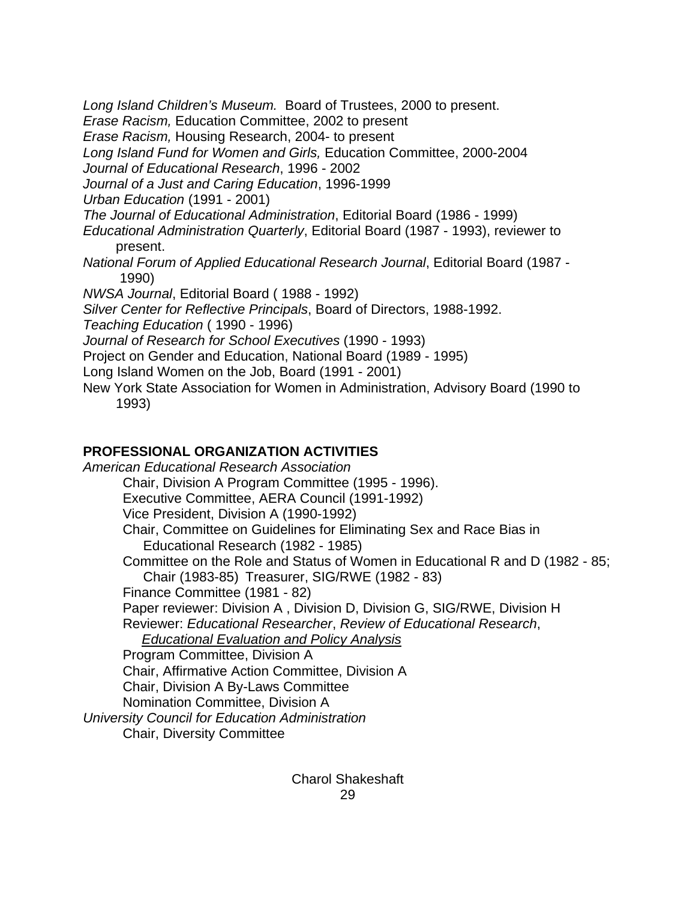*Long Island Children's Museum.* Board of Trustees, 2000 to present. *Erase Racism,* Education Committee, 2002 to present *Erase Racism,* Housing Research, 2004- to present *Long Island Fund for Women and Girls,* Education Committee, 2000-2004 *Journal of Educational Research*, 1996 - 2002 *Journal of a Just and Caring Education*, 1996-1999 *Urban Education* (1991 - 2001) *The Journal of Educational Administration*, Editorial Board (1986 - 1999) *Educational Administration Quarterly*, Editorial Board (1987 - 1993), reviewer to present. *National Forum of Applied Educational Research Journal*, Editorial Board (1987 - 1990) *NWSA Journal*, Editorial Board ( 1988 - 1992) *Silver Center for Reflective Principals*, Board of Directors, 1988-1992. *Teaching Education* ( 1990 - 1996) *Journal of Research for School Executives* (1990 - 1993) Project on Gender and Education, National Board (1989 - 1995) Long Island Women on the Job, Board (1991 - 2001) New York State Association for Women in Administration, Advisory Board (1990 to 1993)

### **PROFESSIONAL ORGANIZATION ACTIVITIES**

*American Educational Research Association*  Chair, Division A Program Committee (1995 - 1996). Executive Committee, AERA Council (1991-1992) Vice President, Division A (1990-1992) Chair, Committee on Guidelines for Eliminating Sex and Race Bias in Educational Research (1982 - 1985) Committee on the Role and Status of Women in Educational R and D (1982 - 85; Chair (1983-85) Treasurer, SIG/RWE (1982 - 83) Finance Committee (1981 - 82) Paper reviewer: Division A , Division D, Division G, SIG/RWE, Division H Reviewer: *Educational Researcher*, *Review of Educational Research*, *Educational Evaluation and Policy Analysis* Program Committee, Division A Chair, Affirmative Action Committee, Division A Chair, Division A By-Laws Committee Nomination Committee, Division A *University Council for Education Administration*  Chair, Diversity Committee

> Charol Shakeshaft 29